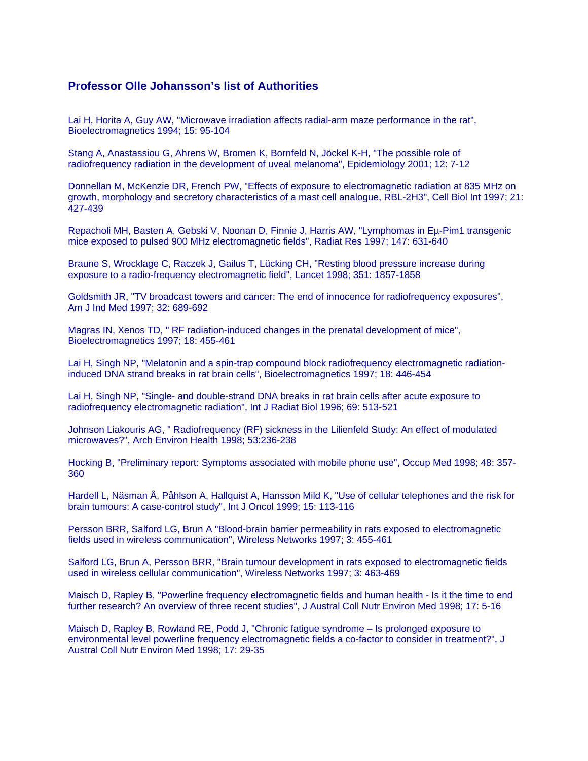## **Professor Olle Johansson's list of Authorities**

Lai H, Horita A, Guy AW, "Microwave irradiation affects radial-arm maze performance in the rat", Bioelectromagnetics 1994; 15: 95-104

Stang A, Anastassiou G, Ahrens W, Bromen K, Bornfeld N, Jöckel K-H, "The possible role of radiofrequency radiation in the development of uveal melanoma", Epidemiology 2001; 12: 7-12

Donnellan M, McKenzie DR, French PW, "Effects of exposure to electromagnetic radiation at 835 MHz on growth, morphology and secretory characteristics of a mast cell analogue, RBL-2H3", Cell Biol Int 1997; 21: 427-439

Repacholi MH, Basten A, Gebski V, Noonan D, Finnie J, Harris AW, "Lymphomas in Eµ-Pim1 transgenic mice exposed to pulsed 900 MHz electromagnetic fields", Radiat Res 1997; 147: 631-640

Braune S, Wrocklage C, Raczek J, Gailus T, Lücking CH, "Resting blood pressure increase during exposure to a radio-frequency electromagnetic field", Lancet 1998; 351: 1857-1858

Goldsmith JR, "TV broadcast towers and cancer: The end of innocence for radiofrequency exposures", Am J Ind Med 1997; 32: 689-692

Magras IN, Xenos TD, " RF radiation-induced changes in the prenatal development of mice", Bioelectromagnetics 1997; 18: 455-461

Lai H, Singh NP, "Melatonin and a spin-trap compound block radiofrequency electromagnetic radiationinduced DNA strand breaks in rat brain cells", Bioelectromagnetics 1997; 18: 446-454

Lai H, Singh NP, "Single- and double-strand DNA breaks in rat brain cells after acute exposure to radiofrequency electromagnetic radiation", Int J Radiat Biol 1996; 69: 513-521

Johnson Liakouris AG, " Radiofrequency (RF) sickness in the Lilienfeld Study: An effect of modulated microwaves?", Arch Environ Health 1998; 53:236-238

Hocking B, "Preliminary report: Symptoms associated with mobile phone use", Occup Med 1998; 48: 357- 360

Hardell L, Näsman Å, Påhlson A, Hallquist A, Hansson Mild K, "Use of cellular telephones and the risk for brain tumours: A case-control study", Int J Oncol 1999; 15: 113-116

Persson BRR, Salford LG, Brun A "Blood-brain barrier permeability in rats exposed to electromagnetic fields used in wireless communication", Wireless Networks 1997; 3: 455-461

Salford LG, Brun A, Persson BRR, "Brain tumour development in rats exposed to electromagnetic fields used in wireless cellular communication", Wireless Networks 1997; 3: 463-469

Maisch D, Rapley B, "Powerline frequency electromagnetic fields and human health - Is it the time to end further research? An overview of three recent studies", J Austral Coll Nutr Environ Med 1998; 17: 5-16

Maisch D, Rapley B, Rowland RE, Podd J, "Chronic fatigue syndrome – Is prolonged exposure to environmental level powerline frequency electromagnetic fields a co-factor to consider in treatment?", J Austral Coll Nutr Environ Med 1998; 17: 29-35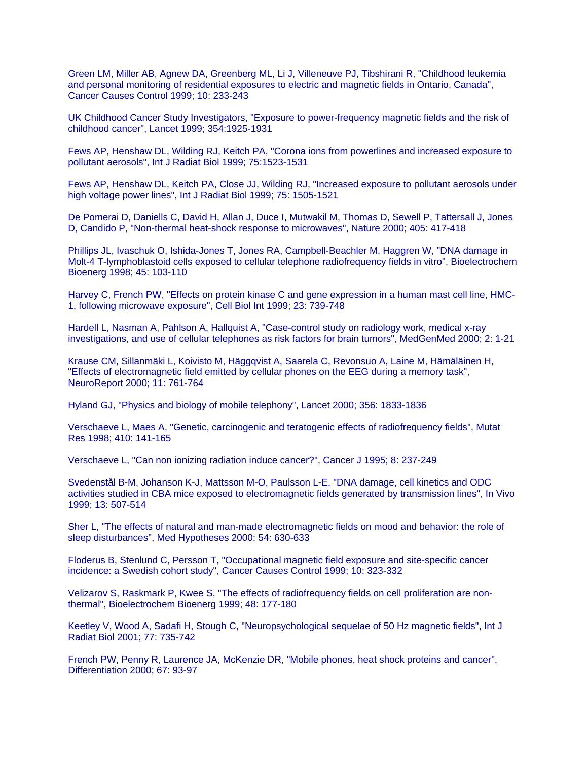Green LM, Miller AB, Agnew DA, Greenberg ML, Li J, Villeneuve PJ, Tibshirani R, "Childhood leukemia and personal monitoring of residential exposures to electric and magnetic fields in Ontario, Canada", Cancer Causes Control 1999; 10: 233-243

UK Childhood Cancer Study Investigators, "Exposure to power-frequency magnetic fields and the risk of childhood cancer", Lancet 1999; 354:1925-1931

Fews AP, Henshaw DL, Wilding RJ, Keitch PA, "Corona ions from powerlines and increased exposure to pollutant aerosols", Int J Radiat Biol 1999; 75:1523-1531

Fews AP, Henshaw DL, Keitch PA, Close JJ, Wilding RJ, "Increased exposure to pollutant aerosols under high voltage power lines", Int J Radiat Biol 1999; 75: 1505-1521

De Pomerai D, Daniells C, David H, Allan J, Duce I, Mutwakil M, Thomas D, Sewell P, Tattersall J, Jones D, Candido P, "Non-thermal heat-shock response to microwaves", Nature 2000; 405: 417-418

Phillips JL, Ivaschuk O, Ishida-Jones T, Jones RA, Campbell-Beachler M, Haggren W, "DNA damage in Molt-4 T-lymphoblastoid cells exposed to cellular telephone radiofrequency fields in vitro", Bioelectrochem Bioenerg 1998; 45: 103-110

Harvey C, French PW, "Effects on protein kinase C and gene expression in a human mast cell line, HMC-1, following microwave exposure", Cell Biol Int 1999; 23: 739-748

Hardell L, Nasman A, Pahlson A, Hallquist A, "Case-control study on radiology work, medical x-ray investigations, and use of cellular telephones as risk factors for brain tumors", MedGenMed 2000; 2: 1-21

Krause CM, Sillanmäki L, Koivisto M, Häggqvist A, Saarela C, Revonsuo A, Laine M, Hämäläinen H, "Effects of electromagnetic field emitted by cellular phones on the EEG during a memory task", NeuroReport 2000; 11: 761-764

Hyland GJ, "Physics and biology of mobile telephony", Lancet 2000; 356: 1833-1836

Verschaeve L, Maes A, "Genetic, carcinogenic and teratogenic effects of radiofrequency fields", Mutat Res 1998; 410: 141-165

Verschaeve L, "Can non ionizing radiation induce cancer?", Cancer J 1995; 8: 237-249

Svedenstål B-M, Johanson K-J, Mattsson M-O, Paulsson L-E, "DNA damage, cell kinetics and ODC activities studied in CBA mice exposed to electromagnetic fields generated by transmission lines", In Vivo 1999; 13: 507-514

Sher L, "The effects of natural and man-made electromagnetic fields on mood and behavior: the role of sleep disturbances", Med Hypotheses 2000; 54: 630-633

Floderus B, Stenlund C, Persson T, "Occupational magnetic field exposure and site-specific cancer incidence: a Swedish cohort study", Cancer Causes Control 1999; 10: 323-332

Velizarov S, Raskmark P, Kwee S, "The effects of radiofrequency fields on cell proliferation are nonthermal", Bioelectrochem Bioenerg 1999; 48: 177-180

Keetley V, Wood A, Sadafi H, Stough C, "Neuropsychological sequelae of 50 Hz magnetic fields", Int J Radiat Biol 2001; 77: 735-742

French PW, Penny R, Laurence JA, McKenzie DR, "Mobile phones, heat shock proteins and cancer", Differentiation 2000; 67: 93-97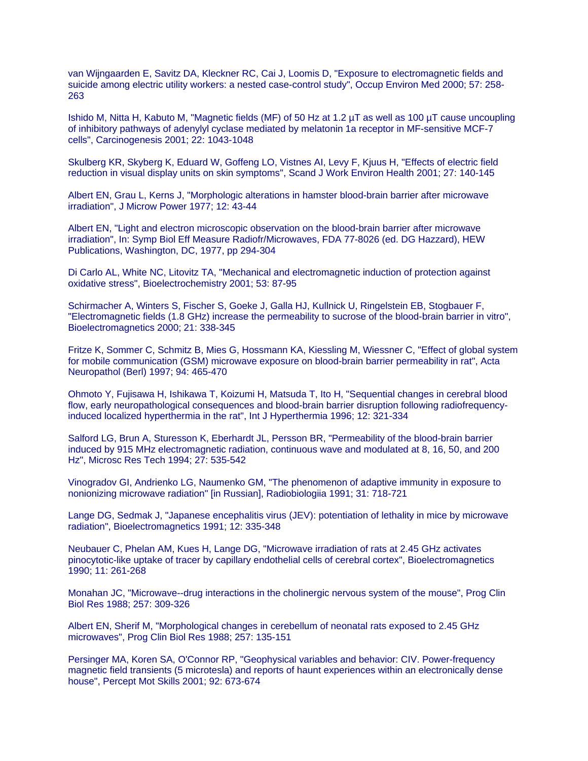van Wijngaarden E, Savitz DA, Kleckner RC, Cai J, Loomis D, "Exposure to electromagnetic fields and suicide among electric utility workers: a nested case-control study", Occup Environ Med 2000; 57: 258- 263

Ishido M, Nitta H, Kabuto M, "Magnetic fields (MF) of 50 Hz at 1.2 µT as well as 100 µT cause uncoupling of inhibitory pathways of adenylyl cyclase mediated by melatonin 1a receptor in MF-sensitive MCF-7 cells", Carcinogenesis 2001; 22: 1043-1048

Skulberg KR, Skyberg K, Eduard W, Goffeng LO, Vistnes AI, Levy F, Kjuus H, "Effects of electric field reduction in visual display units on skin symptoms", Scand J Work Environ Health 2001; 27: 140-145

Albert EN, Grau L, Kerns J, "Morphologic alterations in hamster blood-brain barrier after microwave irradiation", J Microw Power 1977; 12: 43-44

Albert EN, "Light and electron microscopic observation on the blood-brain barrier after microwave irradiation", In: Symp Biol Eff Measure Radiofr/Microwaves, FDA 77-8026 (ed. DG Hazzard), HEW Publications, Washington, DC, 1977, pp 294-304

Di Carlo AL, White NC, Litovitz TA, "Mechanical and electromagnetic induction of protection against oxidative stress", Bioelectrochemistry 2001; 53: 87-95

Schirmacher A, Winters S, Fischer S, Goeke J, Galla HJ, Kullnick U, Ringelstein EB, Stogbauer F, "Electromagnetic fields (1.8 GHz) increase the permeability to sucrose of the blood-brain barrier in vitro", Bioelectromagnetics 2000; 21: 338-345

Fritze K, Sommer C, Schmitz B, Mies G, Hossmann KA, Kiessling M, Wiessner C, "Effect of global system for mobile communication (GSM) microwave exposure on blood-brain barrier permeability in rat", Acta Neuropathol (Berl) 1997; 94: 465-470

Ohmoto Y, Fujisawa H, Ishikawa T, Koizumi H, Matsuda T, Ito H, "Sequential changes in cerebral blood flow, early neuropathological consequences and blood-brain barrier disruption following radiofrequencyinduced localized hyperthermia in the rat", Int J Hyperthermia 1996; 12: 321-334

Salford LG, Brun A, Sturesson K, Eberhardt JL, Persson BR, "Permeability of the blood-brain barrier induced by 915 MHz electromagnetic radiation, continuous wave and modulated at 8, 16, 50, and 200 Hz", Microsc Res Tech 1994; 27: 535-542

Vinogradov GI, Andrienko LG, Naumenko GM, "The phenomenon of adaptive immunity in exposure to nonionizing microwave radiation" [in Russian], Radiobiologiia 1991; 31: 718-721

Lange DG, Sedmak J, "Japanese encephalitis virus (JEV): potentiation of lethality in mice by microwave radiation", Bioelectromagnetics 1991; 12: 335-348

Neubauer C, Phelan AM, Kues H, Lange DG, "Microwave irradiation of rats at 2.45 GHz activates pinocytotic-like uptake of tracer by capillary endothelial cells of cerebral cortex", Bioelectromagnetics 1990; 11: 261-268

Monahan JC, "Microwave--drug interactions in the cholinergic nervous system of the mouse", Prog Clin Biol Res 1988; 257: 309-326

Albert EN, Sherif M, "Morphological changes in cerebellum of neonatal rats exposed to 2.45 GHz microwaves", Prog Clin Biol Res 1988; 257: 135-151

Persinger MA, Koren SA, O'Connor RP, "Geophysical variables and behavior: CIV. Power-frequency magnetic field transients (5 microtesla) and reports of haunt experiences within an electronically dense house", Percept Mot Skills 2001; 92: 673-674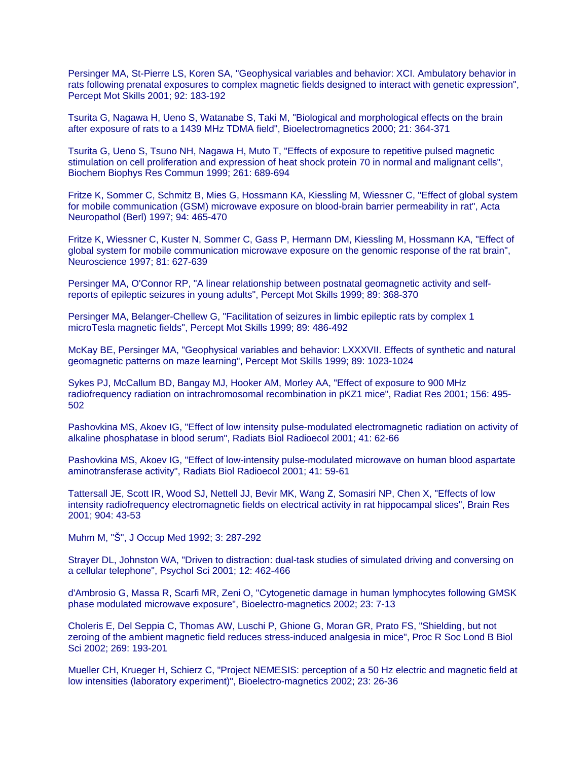Persinger MA, St-Pierre LS, Koren SA, "Geophysical variables and behavior: XCI. Ambulatory behavior in rats following prenatal exposures to complex magnetic fields designed to interact with genetic expression", Percept Mot Skills 2001; 92: 183-192

Tsurita G, Nagawa H, Ueno S, Watanabe S, Taki M, "Biological and morphological effects on the brain after exposure of rats to a 1439 MHz TDMA field", Bioelectromagnetics 2000; 21: 364-371

Tsurita G, Ueno S, Tsuno NH, Nagawa H, Muto T, "Effects of exposure to repetitive pulsed magnetic stimulation on cell proliferation and expression of heat shock protein 70 in normal and malignant cells", Biochem Biophys Res Commun 1999; 261: 689-694

Fritze K, Sommer C, Schmitz B, Mies G, Hossmann KA, Kiessling M, Wiessner C, "Effect of global system for mobile communication (GSM) microwave exposure on blood-brain barrier permeability in rat", Acta Neuropathol (Berl) 1997; 94: 465-470

Fritze K, Wiessner C, Kuster N, Sommer C, Gass P, Hermann DM, Kiessling M, Hossmann KA, "Effect of global system for mobile communication microwave exposure on the genomic response of the rat brain", Neuroscience 1997; 81: 627-639

Persinger MA, O'Connor RP, "A linear relationship between postnatal geomagnetic activity and selfreports of epileptic seizures in young adults", Percept Mot Skills 1999; 89: 368-370

Persinger MA, Belanger-Chellew G, "Facilitation of seizures in limbic epileptic rats by complex 1 microTesla magnetic fields", Percept Mot Skills 1999; 89: 486-492

McKay BE, Persinger MA, "Geophysical variables and behavior: LXXXVII. Effects of synthetic and natural geomagnetic patterns on maze learning", Percept Mot Skills 1999; 89: 1023-1024

Sykes PJ, McCallum BD, Bangay MJ, Hooker AM, Morley AA, "Effect of exposure to 900 MHz radiofrequency radiation on intrachromosomal recombination in pKZ1 mice", Radiat Res 2001; 156: 495- 502

Pashovkina MS, Akoev IG, "Effect of low intensity pulse-modulated electromagnetic radiation on activity of alkaline phosphatase in blood serum", Radiats Biol Radioecol 2001; 41: 62-66

Pashovkina MS, Akoev IG, "Effect of low-intensity pulse-modulated microwave on human blood aspartate aminotransferase activity", Radiats Biol Radioecol 2001; 41: 59-61

Tattersall JE, Scott IR, Wood SJ, Nettell JJ, Bevir MK, Wang Z, Somasiri NP, Chen X, "Effects of low intensity radiofrequency electromagnetic fields on electrical activity in rat hippocampal slices", Brain Res 2001; 904: 43-53

Muhm M, "Š", J Occup Med 1992; 3: 287-292

Strayer DL, Johnston WA, "Driven to distraction: dual-task studies of simulated driving and conversing on a cellular telephone", Psychol Sci 2001; 12: 462-466

d'Ambrosio G, Massa R, Scarfi MR, Zeni O, "Cytogenetic damage in human lymphocytes following GMSK phase modulated microwave exposure", Bioelectro-magnetics 2002; 23: 7-13

Choleris E, Del Seppia C, Thomas AW, Luschi P, Ghione G, Moran GR, Prato FS, "Shielding, but not zeroing of the ambient magnetic field reduces stress-induced analgesia in mice", Proc R Soc Lond B Biol Sci 2002; 269: 193-201

Mueller CH, Krueger H, Schierz C, "Project NEMESIS: perception of a 50 Hz electric and magnetic field at low intensities (laboratory experiment)", Bioelectro-magnetics 2002; 23: 26-36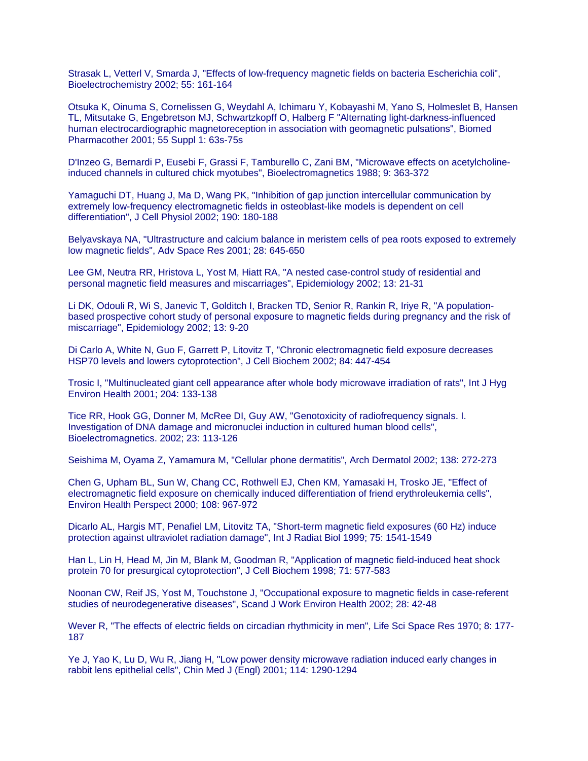Strasak L, Vetterl V, Smarda J, "Effects of low-frequency magnetic fields on bacteria Escherichia coli", Bioelectrochemistry 2002; 55: 161-164

Otsuka K, Oinuma S, Cornelissen G, Weydahl A, Ichimaru Y, Kobayashi M, Yano S, Holmeslet B, Hansen TL, Mitsutake G, Engebretson MJ, Schwartzkopff O, Halberg F "Alternating light-darkness-influenced human electrocardiographic magnetoreception in association with geomagnetic pulsations", Biomed Pharmacother 2001; 55 Suppl 1: 63s-75s

D'Inzeo G, Bernardi P, Eusebi F, Grassi F, Tamburello C, Zani BM, "Microwave effects on acetylcholineinduced channels in cultured chick myotubes", Bioelectromagnetics 1988; 9: 363-372

Yamaguchi DT, Huang J, Ma D, Wang PK, "Inhibition of gap junction intercellular communication by extremely low-frequency electromagnetic fields in osteoblast-like models is dependent on cell differentiation", J Cell Physiol 2002; 190: 180-188

Belyavskaya NA, "Ultrastructure and calcium balance in meristem cells of pea roots exposed to extremely low magnetic fields", Adv Space Res 2001; 28: 645-650

Lee GM, Neutra RR, Hristova L, Yost M, Hiatt RA, "A nested case-control study of residential and personal magnetic field measures and miscarriages", Epidemiology 2002; 13: 21-31

Li DK, Odouli R, Wi S, Janevic T, Golditch I, Bracken TD, Senior R, Rankin R, Iriye R, "A populationbased prospective cohort study of personal exposure to magnetic fields during pregnancy and the risk of miscarriage", Epidemiology 2002; 13: 9-20

Di Carlo A, White N, Guo F, Garrett P, Litovitz T, "Chronic electromagnetic field exposure decreases HSP70 levels and lowers cytoprotection", J Cell Biochem 2002; 84: 447-454

Trosic I, "Multinucleated giant cell appearance after whole body microwave irradiation of rats", Int J Hyg Environ Health 2001; 204: 133-138

Tice RR, Hook GG, Donner M, McRee DI, Guy AW, "Genotoxicity of radiofrequency signals. I. Investigation of DNA damage and micronuclei induction in cultured human blood cells", Bioelectromagnetics. 2002; 23: 113-126

Seishima M, Oyama Z, Yamamura M, "Cellular phone dermatitis", Arch Dermatol 2002; 138: 272-273

Chen G, Upham BL, Sun W, Chang CC, Rothwell EJ, Chen KM, Yamasaki H, Trosko JE, "Effect of electromagnetic field exposure on chemically induced differentiation of friend erythroleukemia cells", Environ Health Perspect 2000; 108: 967-972

Dicarlo AL, Hargis MT, Penafiel LM, Litovitz TA, "Short-term magnetic field exposures (60 Hz) induce protection against ultraviolet radiation damage", Int J Radiat Biol 1999; 75: 1541-1549

Han L, Lin H, Head M, Jin M, Blank M, Goodman R, "Application of magnetic field-induced heat shock protein 70 for presurgical cytoprotection", J Cell Biochem 1998; 71: 577-583

Noonan CW, Reif JS, Yost M, Touchstone J, "Occupational exposure to magnetic fields in case-referent studies of neurodegenerative diseases", Scand J Work Environ Health 2002; 28: 42-48

Wever R, "The effects of electric fields on circadian rhythmicity in men", Life Sci Space Res 1970; 8: 177- 187

Ye J, Yao K, Lu D, Wu R, Jiang H, "Low power density microwave radiation induced early changes in rabbit lens epithelial cells", Chin Med J (Engl) 2001; 114: 1290-1294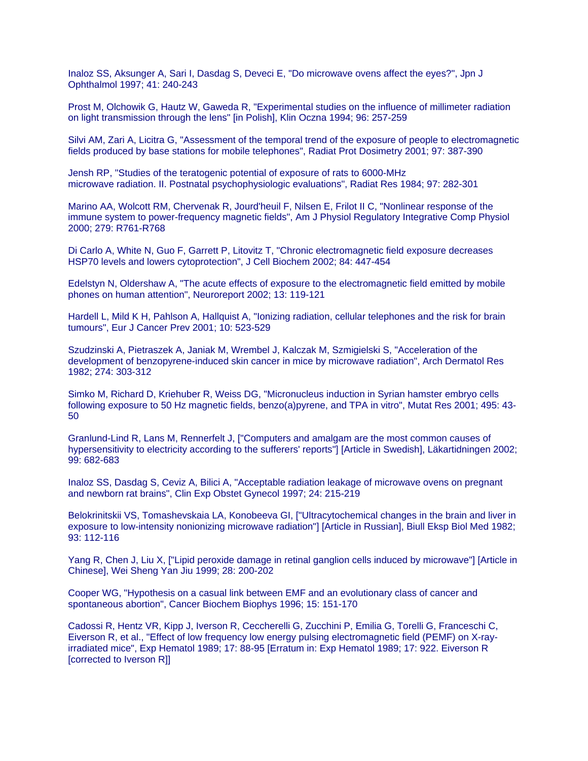Inaloz SS, Aksunger A, Sari I, Dasdag S, Deveci E, "Do microwave ovens affect the eyes?", Jpn J Ophthalmol 1997; 41: 240-243

Prost M, Olchowik G, Hautz W, Gaweda R, "Experimental studies on the influence of millimeter radiation on light transmission through the lens" [in Polish], Klin Oczna 1994; 96: 257-259

Silvi AM, Zari A, Licitra G, "Assessment of the temporal trend of the exposure of people to electromagnetic fields produced by base stations for mobile telephones", Radiat Prot Dosimetry 2001; 97: 387-390

Jensh RP, "Studies of the teratogenic potential of exposure of rats to 6000-MHz microwave radiation. II. Postnatal psychophysiologic evaluations", Radiat Res 1984; 97: 282-301

Marino AA, Wolcott RM, Chervenak R, Jourd'heuil F, Nilsen E, Frilot II C, "Nonlinear response of the immune system to power-frequency magnetic fields", Am J Physiol Regulatory Integrative Comp Physiol 2000; 279: R761-R768

Di Carlo A, White N, Guo F, Garrett P, Litovitz T, "Chronic electromagnetic field exposure decreases HSP70 levels and lowers cytoprotection", J Cell Biochem 2002; 84: 447-454

Edelstyn N, Oldershaw A, "The acute effects of exposure to the electromagnetic field emitted by mobile phones on human attention", Neuroreport 2002; 13: 119-121

Hardell L, Mild K H, Pahlson A, Hallquist A, "Ionizing radiation, cellular telephones and the risk for brain tumours", Eur J Cancer Prev 2001; 10: 523-529

Szudzinski A, Pietraszek A, Janiak M, Wrembel J, Kalczak M, Szmigielski S, "Acceleration of the development of benzopyrene-induced skin cancer in mice by microwave radiation", Arch Dermatol Res 1982; 274: 303-312

Simko M, Richard D, Kriehuber R, Weiss DG, "Micronucleus induction in Syrian hamster embryo cells following exposure to 50 Hz magnetic fields, benzo(a)pyrene, and TPA in vitro", Mutat Res 2001; 495: 43- 50

Granlund-Lind R, Lans M, Rennerfelt J, ["Computers and amalgam are the most common causes of hypersensitivity to electricity according to the sufferers' reports"] [Article in Swedish], Läkartidningen 2002; 99: 682-683

Inaloz SS, Dasdag S, Ceviz A, Bilici A, "Acceptable radiation leakage of microwave ovens on pregnant and newborn rat brains", Clin Exp Obstet Gynecol 1997; 24: 215-219

Belokrinitskii VS, Tomashevskaia LA, Konobeeva GI, ["Ultracytochemical changes in the brain and liver in exposure to low-intensity nonionizing microwave radiation"] [Article in Russian], Biull Eksp Biol Med 1982; 93: 112-116

Yang R, Chen J, Liu X, ["Lipid peroxide damage in retinal ganglion cells induced by microwave"] [Article in Chinese], Wei Sheng Yan Jiu 1999; 28: 200-202

Cooper WG, "Hypothesis on a casual link between EMF and an evolutionary class of cancer and spontaneous abortion", Cancer Biochem Biophys 1996; 15: 151-170

Cadossi R, Hentz VR, Kipp J, Iverson R, Ceccherelli G, Zucchini P, Emilia G, Torelli G, Franceschi C, Eiverson R, et al., "Effect of low frequency low energy pulsing electromagnetic field (PEMF) on X-rayirradiated mice", Exp Hematol 1989; 17: 88-95 [Erratum in: Exp Hematol 1989; 17: 922. Eiverson R [corrected to Iverson R]]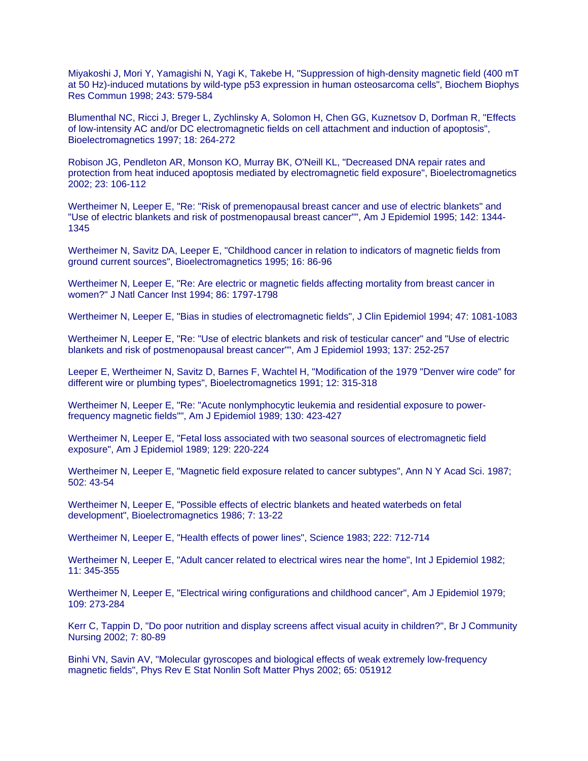Miyakoshi J, Mori Y, Yamagishi N, Yagi K, Takebe H, "Suppression of high-density magnetic field (400 mT at 50 Hz)-induced mutations by wild-type p53 expression in human osteosarcoma cells", Biochem Biophys Res Commun 1998; 243: 579-584

Blumenthal NC, Ricci J, Breger L, Zychlinsky A, Solomon H, Chen GG, Kuznetsov D, Dorfman R, "Effects of low-intensity AC and/or DC electromagnetic fields on cell attachment and induction of apoptosis", Bioelectromagnetics 1997; 18: 264-272

Robison JG, Pendleton AR, Monson KO, Murray BK, O'Neill KL, "Decreased DNA repair rates and protection from heat induced apoptosis mediated by electromagnetic field exposure", Bioelectromagnetics 2002; 23: 106-112

Wertheimer N, Leeper E, "Re: "Risk of premenopausal breast cancer and use of electric blankets" and "Use of electric blankets and risk of postmenopausal breast cancer"", Am J Epidemiol 1995; 142: 1344- 1345

Wertheimer N, Savitz DA, Leeper E, "Childhood cancer in relation to indicators of magnetic fields from ground current sources", Bioelectromagnetics 1995; 16: 86-96

Wertheimer N, Leeper E, "Re: Are electric or magnetic fields affecting mortality from breast cancer in women?" J Natl Cancer Inst 1994; 86: 1797-1798

Wertheimer N, Leeper E, "Bias in studies of electromagnetic fields", J Clin Epidemiol 1994; 47: 1081-1083

Wertheimer N, Leeper E, "Re: "Use of electric blankets and risk of testicular cancer" and "Use of electric blankets and risk of postmenopausal breast cancer"", Am J Epidemiol 1993; 137: 252-257

Leeper E, Wertheimer N, Savitz D, Barnes F, Wachtel H, "Modification of the 1979 "Denver wire code" for different wire or plumbing types", Bioelectromagnetics 1991; 12: 315-318

Wertheimer N, Leeper E, "Re: "Acute nonlymphocytic leukemia and residential exposure to powerfrequency magnetic fields"", Am J Epidemiol 1989; 130: 423-427

Wertheimer N, Leeper E, "Fetal loss associated with two seasonal sources of electromagnetic field exposure", Am J Epidemiol 1989; 129: 220-224

Wertheimer N, Leeper E, "Magnetic field exposure related to cancer subtypes", Ann N Y Acad Sci. 1987; 502: 43-54

Wertheimer N, Leeper E, "Possible effects of electric blankets and heated waterbeds on fetal development", Bioelectromagnetics 1986; 7: 13-22

Wertheimer N, Leeper E, "Health effects of power lines", Science 1983; 222: 712-714

Wertheimer N, Leeper E, "Adult cancer related to electrical wires near the home", Int J Epidemiol 1982; 11: 345-355

Wertheimer N, Leeper E, "Electrical wiring configurations and childhood cancer", Am J Epidemiol 1979; 109: 273-284

Kerr C, Tappin D, "Do poor nutrition and display screens affect visual acuity in children?", Br J Community Nursing 2002; 7: 80-89

Binhi VN, Savin AV, "Molecular gyroscopes and biological effects of weak extremely low-frequency magnetic fields", Phys Rev E Stat Nonlin Soft Matter Phys 2002; 65: 051912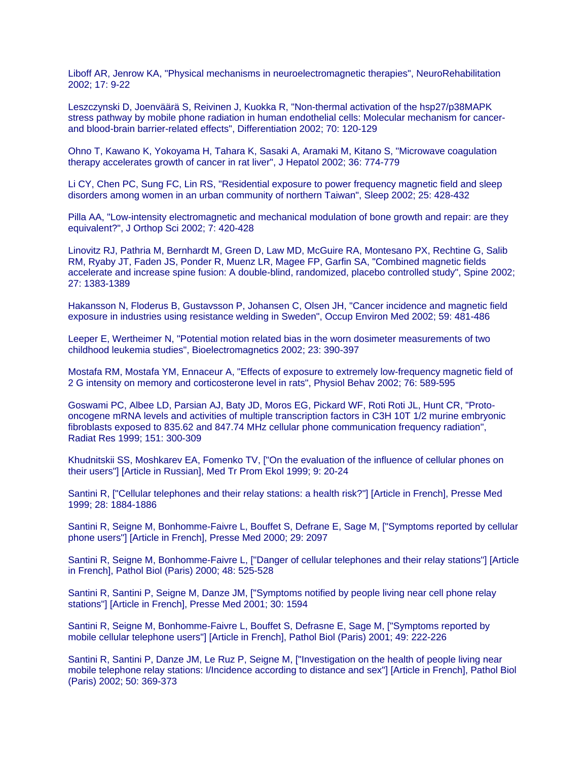Liboff AR, Jenrow KA, "Physical mechanisms in neuroelectromagnetic therapies", NeuroRehabilitation 2002; 17: 9-22

Leszczynski D, Joenväärä S, Reivinen J, Kuokka R, "Non-thermal activation of the hsp27/p38MAPK stress pathway by mobile phone radiation in human endothelial cells: Molecular mechanism for cancerand blood-brain barrier-related effects", Differentiation 2002; 70: 120-129

Ohno T, Kawano K, Yokoyama H, Tahara K, Sasaki A, Aramaki M, Kitano S, "Microwave coagulation therapy accelerates growth of cancer in rat liver", J Hepatol 2002; 36: 774-779

Li CY, Chen PC, Sung FC, Lin RS, "Residential exposure to power frequency magnetic field and sleep disorders among women in an urban community of northern Taiwan", Sleep 2002; 25: 428-432

Pilla AA, "Low-intensity electromagnetic and mechanical modulation of bone growth and repair: are they equivalent?", J Orthop Sci 2002; 7: 420-428

Linovitz RJ, Pathria M, Bernhardt M, Green D, Law MD, McGuire RA, Montesano PX, Rechtine G, Salib RM, Ryaby JT, Faden JS, Ponder R, Muenz LR, Magee FP, Garfin SA, "Combined magnetic fields accelerate and increase spine fusion: A double-blind, randomized, placebo controlled study", Spine 2002; 27: 1383-1389

Hakansson N, Floderus B, Gustavsson P, Johansen C, Olsen JH, "Cancer incidence and magnetic field exposure in industries using resistance welding in Sweden", Occup Environ Med 2002; 59: 481-486

Leeper E, Wertheimer N, "Potential motion related bias in the worn dosimeter measurements of two childhood leukemia studies", Bioelectromagnetics 2002; 23: 390-397

Mostafa RM, Mostafa YM, Ennaceur A, "Effects of exposure to extremely low-frequency magnetic field of 2 G intensity on memory and corticosterone level in rats", Physiol Behav 2002; 76: 589-595

Goswami PC, Albee LD, Parsian AJ, Baty JD, Moros EG, Pickard WF, Roti Roti JL, Hunt CR, "Protooncogene mRNA levels and activities of multiple transcription factors in C3H 10T 1/2 murine embryonic fibroblasts exposed to 835.62 and 847.74 MHz cellular phone communication frequency radiation", Radiat Res 1999; 151: 300-309

Khudnitskii SS, Moshkarev EA, Fomenko TV, ["On the evaluation of the influence of cellular phones on their users"] [Article in Russian], Med Tr Prom Ekol 1999; 9: 20-24

Santini R, ["Cellular telephones and their relay stations: a health risk?"] [Article in French], Presse Med 1999; 28: 1884-1886

Santini R, Seigne M, Bonhomme-Faivre L, Bouffet S, Defrane E, Sage M, ["Symptoms reported by cellular phone users"] [Article in French], Presse Med 2000; 29: 2097

Santini R, Seigne M, Bonhomme-Faivre L, ["Danger of cellular telephones and their relay stations"] [Article in French], Pathol Biol (Paris) 2000; 48: 525-528

Santini R, Santini P, Seigne M, Danze JM, ["Symptoms notified by people living near cell phone relay stations"] [Article in French], Presse Med 2001; 30: 1594

Santini R, Seigne M, Bonhomme-Faivre L, Bouffet S, Defrasne E, Sage M, ["Symptoms reported by mobile cellular telephone users"] [Article in French], Pathol Biol (Paris) 2001; 49: 222-226

Santini R, Santini P, Danze JM, Le Ruz P, Seigne M, ["Investigation on the health of people living near mobile telephone relay stations: I/Incidence according to distance and sex"] [Article in French], Pathol Biol (Paris) 2002; 50: 369-373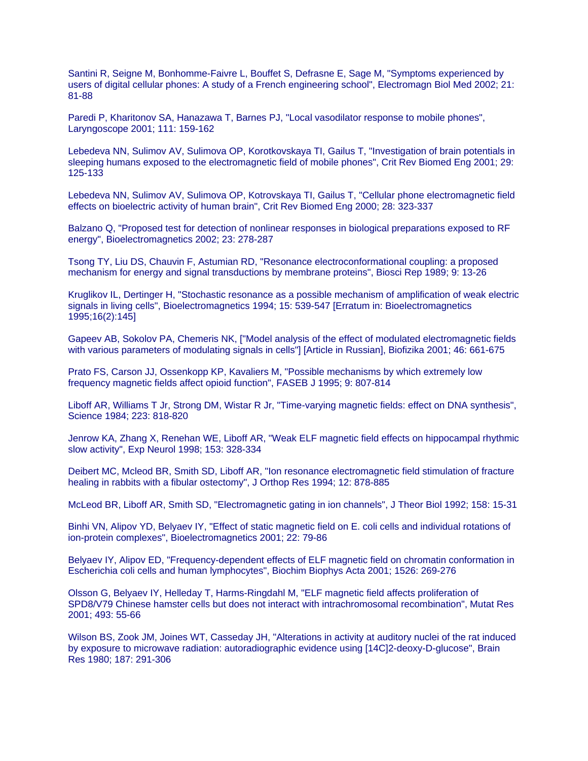Santini R, Seigne M, Bonhomme-Faivre L, Bouffet S, Defrasne E, Sage M, "Symptoms experienced by users of digital cellular phones: A study of a French engineering school", Electromagn Biol Med 2002; 21: 81-88

Paredi P, Kharitonov SA, Hanazawa T, Barnes PJ, "Local vasodilator response to mobile phones", Laryngoscope 2001; 111: 159-162

Lebedeva NN, Sulimov AV, Sulimova OP, Korotkovskaya TI, Gailus T, "Investigation of brain potentials in sleeping humans exposed to the electromagnetic field of mobile phones", Crit Rev Biomed Eng 2001; 29: 125-133

Lebedeva NN, Sulimov AV, Sulimova OP, Kotrovskaya TI, Gailus T, "Cellular phone electromagnetic field effects on bioelectric activity of human brain", Crit Rev Biomed Eng 2000; 28: 323-337

Balzano Q, "Proposed test for detection of nonlinear responses in biological preparations exposed to RF energy", Bioelectromagnetics 2002; 23: 278-287

Tsong TY, Liu DS, Chauvin F, Astumian RD, "Resonance electroconformational coupling: a proposed mechanism for energy and signal transductions by membrane proteins", Biosci Rep 1989; 9: 13-26

Kruglikov IL, Dertinger H, "Stochastic resonance as a possible mechanism of amplification of weak electric signals in living cells", Bioelectromagnetics 1994; 15: 539-547 [Erratum in: Bioelectromagnetics 1995;16(2):145]

Gapeev AB, Sokolov PA, Chemeris NK, ["Model analysis of the effect of modulated electromagnetic fields with various parameters of modulating signals in cells"] [Article in Russian], Biofizika 2001; 46: 661-675

Prato FS, Carson JJ, Ossenkopp KP, Kavaliers M, "Possible mechanisms by which extremely low frequency magnetic fields affect opioid function", FASEB J 1995; 9: 807-814

Liboff AR, Williams T Jr, Strong DM, Wistar R Jr, "Time-varying magnetic fields: effect on DNA synthesis", Science 1984; 223: 818-820

Jenrow KA, Zhang X, Renehan WE, Liboff AR, "Weak ELF magnetic field effects on hippocampal rhythmic slow activity", Exp Neurol 1998; 153: 328-334

Deibert MC, Mcleod BR, Smith SD, Liboff AR, "Ion resonance electromagnetic field stimulation of fracture healing in rabbits with a fibular ostectomy", J Orthop Res 1994; 12: 878-885

McLeod BR, Liboff AR, Smith SD, "Electromagnetic gating in ion channels", J Theor Biol 1992; 158: 15-31

Binhi VN, Alipov YD, Belyaev IY, "Effect of static magnetic field on E. coli cells and individual rotations of ion-protein complexes", Bioelectromagnetics 2001; 22: 79-86

Belyaev IY, Alipov ED, "Frequency-dependent effects of ELF magnetic field on chromatin conformation in Escherichia coli cells and human lymphocytes", Biochim Biophys Acta 2001; 1526: 269-276

Olsson G, Belyaev IY, Helleday T, Harms-Ringdahl M, "ELF magnetic field affects proliferation of SPD8/V79 Chinese hamster cells but does not interact with intrachromosomal recombination", Mutat Res 2001; 493: 55-66

Wilson BS, Zook JM, Joines WT, Casseday JH, "Alterations in activity at auditory nuclei of the rat induced by exposure to microwave radiation: autoradiographic evidence using [14C]2-deoxy-D-glucose", Brain Res 1980; 187: 291-306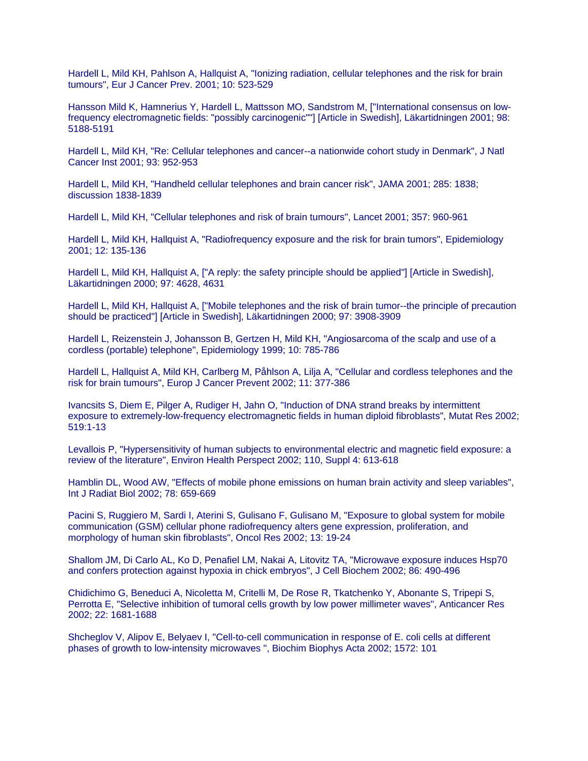Hardell L, Mild KH, Pahlson A, Hallquist A, "Ionizing radiation, cellular telephones and the risk for brain tumours", Eur J Cancer Prev. 2001; 10: 523-529

Hansson Mild K, Hamnerius Y, Hardell L, Mattsson MO, Sandstrom M, ["International consensus on lowfrequency electromagnetic fields: "possibly carcinogenic""] [Article in Swedish], Läkartidningen 2001; 98: 5188-5191

Hardell L, Mild KH, "Re: Cellular telephones and cancer--a nationwide cohort study in Denmark", J Natl Cancer Inst 2001; 93: 952-953

Hardell L, Mild KH, "Handheld cellular telephones and brain cancer risk", JAMA 2001; 285: 1838; discussion 1838-1839

Hardell L, Mild KH, "Cellular telephones and risk of brain tumours", Lancet 2001; 357: 960-961

Hardell L, Mild KH, Hallquist A, "Radiofrequency exposure and the risk for brain tumors", Epidemiology 2001; 12: 135-136

Hardell L, Mild KH, Hallquist A, ["A reply: the safety principle should be applied"] [Article in Swedish], Läkartidningen 2000; 97: 4628, 4631

Hardell L, Mild KH, Hallquist A, ["Mobile telephones and the risk of brain tumor--the principle of precaution should be practiced"] [Article in Swedish], Läkartidningen 2000; 97: 3908-3909

Hardell L, Reizenstein J, Johansson B, Gertzen H, Mild KH, "Angiosarcoma of the scalp and use of a cordless (portable) telephone", Epidemiology 1999; 10: 785-786

Hardell L, Hallquist A, Mild KH, Carlberg M, Påhlson A, Lilja A, "Cellular and cordless telephones and the risk for brain tumours", Europ J Cancer Prevent 2002; 11: 377-386

Ivancsits S, Diem E, Pilger A, Rudiger H, Jahn O, "Induction of DNA strand breaks by intermittent exposure to extremely-low-frequency electromagnetic fields in human diploid fibroblasts", Mutat Res 2002; 519:1-13

Levallois P, "Hypersensitivity of human subjects to environmental electric and magnetic field exposure: a review of the literature", Environ Health Perspect 2002; 110, Suppl 4: 613-618

Hamblin DL, Wood AW, "Effects of mobile phone emissions on human brain activity and sleep variables", Int J Radiat Biol 2002; 78: 659-669

Pacini S, Ruggiero M, Sardi I, Aterini S, Gulisano F, Gulisano M, "Exposure to global system for mobile communication (GSM) cellular phone radiofrequency alters gene expression, proliferation, and morphology of human skin fibroblasts", Oncol Res 2002; 13: 19-24

Shallom JM, Di Carlo AL, Ko D, Penafiel LM, Nakai A, Litovitz TA, "Microwave exposure induces Hsp70 and confers protection against hypoxia in chick embryos", J Cell Biochem 2002; 86: 490-496

Chidichimo G, Beneduci A, Nicoletta M, Critelli M, De Rose R, Tkatchenko Y, Abonante S, Tripepi S, Perrotta E, "Selective inhibition of tumoral cells growth by low power millimeter waves", Anticancer Res 2002; 22: 1681-1688

Shcheglov V, Alipov E, Belyaev I, "Cell-to-cell communication in response of E. coli cells at different phases of growth to low-intensity microwaves ", Biochim Biophys Acta 2002; 1572: 101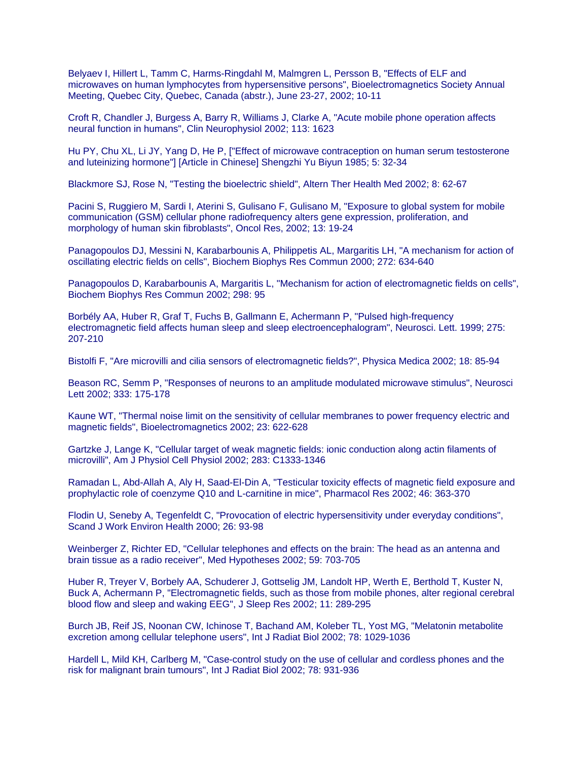Belyaev I, Hillert L, Tamm C, Harms-Ringdahl M, Malmgren L, Persson B, "Effects of ELF and microwaves on human lymphocytes from hypersensitive persons", Bioelectromagnetics Society Annual Meeting, Quebec City, Quebec, Canada (abstr.), June 23-27, 2002; 10-11

Croft R, Chandler J, Burgess A, Barry R, Williams J, Clarke A, "Acute mobile phone operation affects neural function in humans", Clin Neurophysiol 2002; 113: 1623

Hu PY, Chu XL, Li JY, Yang D, He P, ["Effect of microwave contraception on human serum testosterone and luteinizing hormone"] [Article in Chinese] Shengzhi Yu Biyun 1985; 5: 32-34

Blackmore SJ, Rose N, "Testing the bioelectric shield", Altern Ther Health Med 2002; 8: 62-67

Pacini S, Ruggiero M, Sardi I, Aterini S, Gulisano F, Gulisano M, "Exposure to global system for mobile communication (GSM) cellular phone radiofrequency alters gene expression, proliferation, and morphology of human skin fibroblasts", Oncol Res, 2002; 13: 19-24

Panagopoulos DJ, Messini N, Karabarbounis A, Philippetis AL, Margaritis LH, "A mechanism for action of oscillating electric fields on cells", Biochem Biophys Res Commun 2000; 272: 634-640

Panagopoulos D, Karabarbounis A, Margaritis L, "Mechanism for action of electromagnetic fields on cells", Biochem Biophys Res Commun 2002; 298: 95

Borbély AA, Huber R, Graf T, Fuchs B, Gallmann E, Achermann P, "Pulsed high-frequency electromagnetic field affects human sleep and sleep electroencephalogram", Neurosci. Lett. 1999; 275: 207-210

Bistolfi F, "Are microvilli and cilia sensors of electromagnetic fields?", Physica Medica 2002; 18: 85-94

Beason RC, Semm P, "Responses of neurons to an amplitude modulated microwave stimulus", Neurosci Lett 2002; 333: 175-178

Kaune WT, "Thermal noise limit on the sensitivity of cellular membranes to power frequency electric and magnetic fields", Bioelectromagnetics 2002; 23: 622-628

Gartzke J, Lange K, "Cellular target of weak magnetic fields: ionic conduction along actin filaments of microvilli", Am J Physiol Cell Physiol 2002; 283: C1333-1346

Ramadan L, Abd-Allah A, Aly H, Saad-El-Din A, "Testicular toxicity effects of magnetic field exposure and prophylactic role of coenzyme Q10 and L-carnitine in mice", Pharmacol Res 2002; 46: 363-370

Flodin U, Seneby A, Tegenfeldt C, "Provocation of electric hypersensitivity under everyday conditions", Scand J Work Environ Health 2000; 26: 93-98

Weinberger Z, Richter ED, "Cellular telephones and effects on the brain: The head as an antenna and brain tissue as a radio receiver", Med Hypotheses 2002; 59: 703-705

Huber R, Treyer V, Borbely AA, Schuderer J, Gottselig JM, Landolt HP, Werth E, Berthold T, Kuster N, Buck A, Achermann P, "Electromagnetic fields, such as those from mobile phones, alter regional cerebral blood flow and sleep and waking EEG", J Sleep Res 2002; 11: 289-295

Burch JB, Reif JS, Noonan CW, Ichinose T, Bachand AM, Koleber TL, Yost MG, "Melatonin metabolite excretion among cellular telephone users", Int J Radiat Biol 2002; 78: 1029-1036

Hardell L, Mild KH, Carlberg M, "Case-control study on the use of cellular and cordless phones and the risk for malignant brain tumours", Int J Radiat Biol 2002; 78: 931-936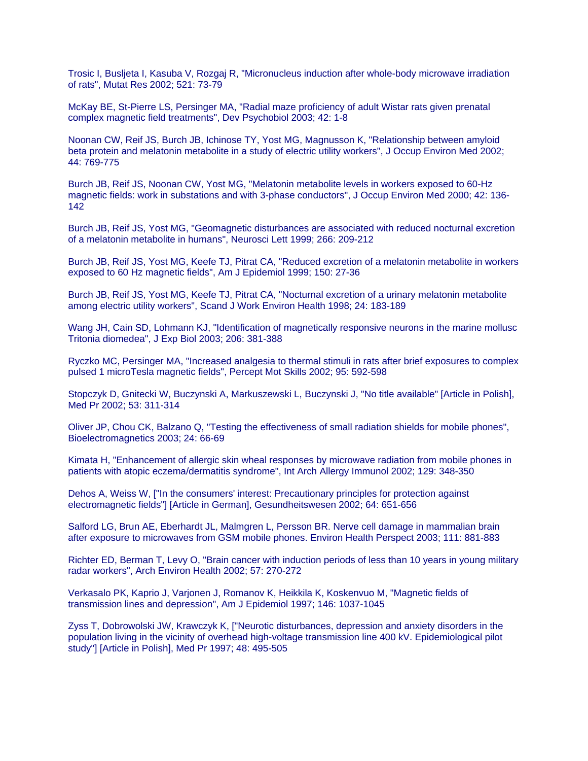Trosic I, Busljeta I, Kasuba V, Rozgaj R, "Micronucleus induction after whole-body microwave irradiation of rats", Mutat Res 2002; 521: 73-79

McKay BE, St-Pierre LS, Persinger MA, "Radial maze proficiency of adult Wistar rats given prenatal complex magnetic field treatments", Dev Psychobiol 2003; 42: 1-8

Noonan CW, Reif JS, Burch JB, Ichinose TY, Yost MG, Magnusson K, "Relationship between amyloid beta protein and melatonin metabolite in a study of electric utility workers", J Occup Environ Med 2002; 44: 769-775

Burch JB, Reif JS, Noonan CW, Yost MG, "Melatonin metabolite levels in workers exposed to 60-Hz magnetic fields: work in substations and with 3-phase conductors", J Occup Environ Med 2000; 42: 136- 142

Burch JB, Reif JS, Yost MG, "Geomagnetic disturbances are associated with reduced nocturnal excretion of a melatonin metabolite in humans", Neurosci Lett 1999; 266: 209-212

Burch JB, Reif JS, Yost MG, Keefe TJ, Pitrat CA, "Reduced excretion of a melatonin metabolite in workers exposed to 60 Hz magnetic fields", Am J Epidemiol 1999; 150: 27-36

Burch JB, Reif JS, Yost MG, Keefe TJ, Pitrat CA, "Nocturnal excretion of a urinary melatonin metabolite among electric utility workers", Scand J Work Environ Health 1998; 24: 183-189

Wang JH, Cain SD, Lohmann KJ, "Identification of magnetically responsive neurons in the marine mollusc Tritonia diomedea", J Exp Biol 2003; 206: 381-388

Ryczko MC, Persinger MA, "Increased analgesia to thermal stimuli in rats after brief exposures to complex pulsed 1 microTesla magnetic fields", Percept Mot Skills 2002; 95: 592-598

Stopczyk D, Gnitecki W, Buczynski A, Markuszewski L, Buczynski J, "No title available" [Article in Polish], Med Pr 2002; 53: 311-314

Oliver JP, Chou CK, Balzano Q, "Testing the effectiveness of small radiation shields for mobile phones", Bioelectromagnetics 2003; 24: 66-69

Kimata H, "Enhancement of allergic skin wheal responses by microwave radiation from mobile phones in patients with atopic eczema/dermatitis syndrome", Int Arch Allergy Immunol 2002; 129: 348-350

Dehos A, Weiss W, ["In the consumers' interest: Precautionary principles for protection against electromagnetic fields"] [Article in German], Gesundheitswesen 2002; 64: 651-656

Salford LG, Brun AE, Eberhardt JL, Malmgren L, Persson BR. Nerve cell damage in mammalian brain after exposure to microwaves from GSM mobile phones. Environ Health Perspect 2003; 111: 881-883

Richter ED, Berman T, Levy O, "Brain cancer with induction periods of less than 10 years in young military radar workers", Arch Environ Health 2002; 57: 270-272

Verkasalo PK, Kaprio J, Varjonen J, Romanov K, Heikkila K, Koskenvuo M, "Magnetic fields of transmission lines and depression", Am J Epidemiol 1997; 146: 1037-1045

Zyss T, Dobrowolski JW, Krawczyk K, ["Neurotic disturbances, depression and anxiety disorders in the population living in the vicinity of overhead high-voltage transmission line 400 kV. Epidemiological pilot study"] [Article in Polish], Med Pr 1997; 48: 495-505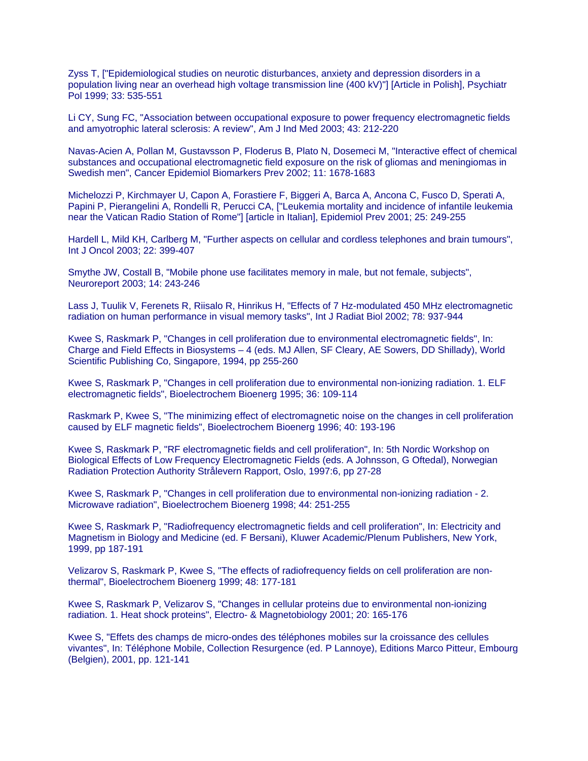Zyss T, ["Epidemiological studies on neurotic disturbances, anxiety and depression disorders in a population living near an overhead high voltage transmission line (400 kV)"] [Article in Polish], Psychiatr Pol 1999; 33: 535-551

Li CY, Sung FC, "Association between occupational exposure to power frequency electromagnetic fields and amyotrophic lateral sclerosis: A review", Am J Ind Med 2003; 43: 212-220

Navas-Acien A, Pollan M, Gustavsson P, Floderus B, Plato N, Dosemeci M, "Interactive effect of chemical substances and occupational electromagnetic field exposure on the risk of gliomas and meningiomas in Swedish men", Cancer Epidemiol Biomarkers Prev 2002; 11: 1678-1683

Michelozzi P, Kirchmayer U, Capon A, Forastiere F, Biggeri A, Barca A, Ancona C, Fusco D, Sperati A, Papini P, Pierangelini A, Rondelli R, Perucci CA, ["Leukemia mortality and incidence of infantile leukemia near the Vatican Radio Station of Rome"] [article in Italian], Epidemiol Prev 2001; 25: 249-255

Hardell L, Mild KH, Carlberg M, "Further aspects on cellular and cordless telephones and brain tumours", Int J Oncol 2003; 22: 399-407

Smythe JW, Costall B, "Mobile phone use facilitates memory in male, but not female, subjects", Neuroreport 2003; 14: 243-246

Lass J, Tuulik V, Ferenets R, Riisalo R, Hinrikus H, "Effects of 7 Hz-modulated 450 MHz electromagnetic radiation on human performance in visual memory tasks", Int J Radiat Biol 2002; 78: 937-944

Kwee S, Raskmark P, "Changes in cell proliferation due to environmental electromagnetic fields", In: Charge and Field Effects in Biosystems – 4 (eds. MJ Allen, SF Cleary, AE Sowers, DD Shillady), World Scientific Publishing Co, Singapore, 1994, pp 255-260

Kwee S, Raskmark P, "Changes in cell proliferation due to environmental non-ionizing radiation. 1. ELF electromagnetic fields", Bioelectrochem Bioenerg 1995; 36: 109-114

Raskmark P, Kwee S, "The minimizing effect of electromagnetic noise on the changes in cell proliferation caused by ELF magnetic fields", Bioelectrochem Bioenerg 1996; 40: 193-196

Kwee S, Raskmark P, "RF electromagnetic fields and cell proliferation", In: 5th Nordic Workshop on Biological Effects of Low Frequency Electromagnetic Fields (eds. A Johnsson, G Oftedal), Norwegian Radiation Protection Authority Strålevern Rapport, Oslo, 1997:6, pp 27-28

Kwee S, Raskmark P, "Changes in cell proliferation due to environmental non-ionizing radiation - 2. Microwave radiation", Bioelectrochem Bioenerg 1998; 44: 251-255

Kwee S, Raskmark P, "Radiofrequency electromagnetic fields and cell proliferation", In: Electricity and Magnetism in Biology and Medicine (ed. F Bersani), Kluwer Academic/Plenum Publishers, New York, 1999, pp 187-191

Velizarov S, Raskmark P, Kwee S, "The effects of radiofrequency fields on cell proliferation are nonthermal", Bioelectrochem Bioenerg 1999; 48: 177-181

Kwee S, Raskmark P, Velizarov S, "Changes in cellular proteins due to environmental non-ionizing radiation. 1. Heat shock proteins", Electro- & Magnetobiology 2001; 20: 165-176

Kwee S, "Effets des champs de micro-ondes des téléphones mobiles sur la croissance des cellules vivantes", In: Téléphone Mobile, Collection Resurgence (ed. P Lannoye), Editions Marco Pitteur, Embourg (Belgien), 2001, pp. 121-141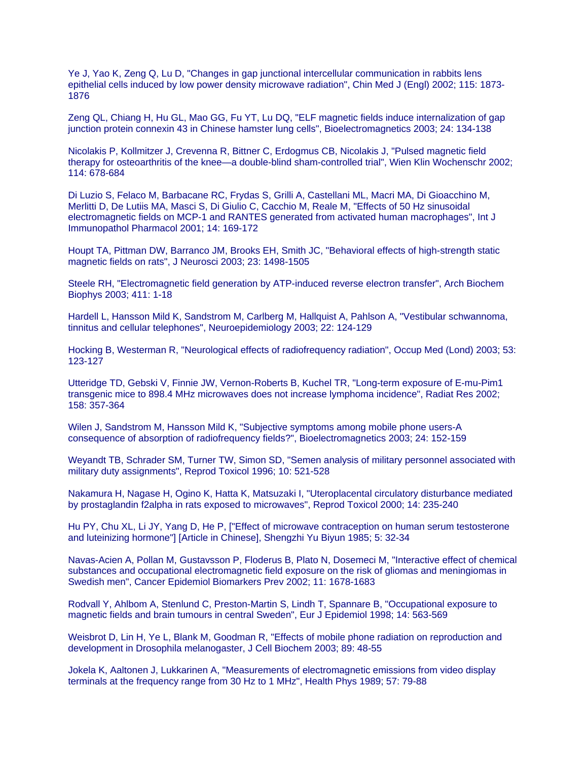Ye J, Yao K, Zeng Q, Lu D, "Changes in gap junctional intercellular communication in rabbits lens epithelial cells induced by low power density microwave radiation", Chin Med J (Engl) 2002; 115: 1873- 1876

Zeng QL, Chiang H, Hu GL, Mao GG, Fu YT, Lu DQ, "ELF magnetic fields induce internalization of gap junction protein connexin 43 in Chinese hamster lung cells", Bioelectromagnetics 2003; 24: 134-138

Nicolakis P, Kollmitzer J, Crevenna R, Bittner C, Erdogmus CB, Nicolakis J, "Pulsed magnetic field therapy for osteoarthritis of the knee—a double-blind sham-controlled trial", Wien Klin Wochenschr 2002; 114: 678-684

Di Luzio S, Felaco M, Barbacane RC, Frydas S, Grilli A, Castellani ML, Macri MA, Di Gioacchino M, Merlitti D, De Lutiis MA, Masci S, Di Giulio C, Cacchio M, Reale M, "Effects of 50 Hz sinusoidal electromagnetic fields on MCP-1 and RANTES generated from activated human macrophages", Int J Immunopathol Pharmacol 2001; 14: 169-172

Houpt TA, Pittman DW, Barranco JM, Brooks EH, Smith JC, "Behavioral effects of high-strength static magnetic fields on rats", J Neurosci 2003; 23: 1498-1505

Steele RH, "Electromagnetic field generation by ATP-induced reverse electron transfer", Arch Biochem Biophys 2003; 411: 1-18

Hardell L, Hansson Mild K, Sandstrom M, Carlberg M, Hallquist A, Pahlson A, "Vestibular schwannoma, tinnitus and cellular telephones", Neuroepidemiology 2003; 22: 124-129

Hocking B, Westerman R, "Neurological effects of radiofrequency radiation", Occup Med (Lond) 2003; 53: 123-127

Utteridge TD, Gebski V, Finnie JW, Vernon-Roberts B, Kuchel TR, "Long-term exposure of E-mu-Pim1 transgenic mice to 898.4 MHz microwaves does not increase lymphoma incidence", Radiat Res 2002; 158: 357-364

Wilen J, Sandstrom M, Hansson Mild K, "Subjective symptoms among mobile phone users-A consequence of absorption of radiofrequency fields?", Bioelectromagnetics 2003; 24: 152-159

Weyandt TB, Schrader SM, Turner TW, Simon SD, "Semen analysis of military personnel associated with military duty assignments", Reprod Toxicol 1996; 10: 521-528

Nakamura H, Nagase H, Ogino K, Hatta K, Matsuzaki I, "Uteroplacental circulatory disturbance mediated by prostaglandin f2alpha in rats exposed to microwaves", Reprod Toxicol 2000; 14: 235-240

Hu PY, Chu XL, Li JY, Yang D, He P, ["Effect of microwave contraception on human serum testosterone and luteinizing hormone"] [Article in Chinese], Shengzhi Yu Biyun 1985; 5: 32-34

Navas-Acien A, Pollan M, Gustavsson P, Floderus B, Plato N, Dosemeci M, "Interactive effect of chemical substances and occupational electromagnetic field exposure on the risk of gliomas and meningiomas in Swedish men", Cancer Epidemiol Biomarkers Prev 2002; 11: 1678-1683

Rodvall Y, Ahlbom A, Stenlund C, Preston-Martin S, Lindh T, Spannare B, "Occupational exposure to magnetic fields and brain tumours in central Sweden", Eur J Epidemiol 1998; 14: 563-569

Weisbrot D, Lin H, Ye L, Blank M, Goodman R, "Effects of mobile phone radiation on reproduction and development in Drosophila melanogaster, J Cell Biochem 2003; 89: 48-55

Jokela K, Aaltonen J, Lukkarinen A, "Measurements of electromagnetic emissions from video display terminals at the frequency range from 30 Hz to 1 MHz", Health Phys 1989; 57: 79-88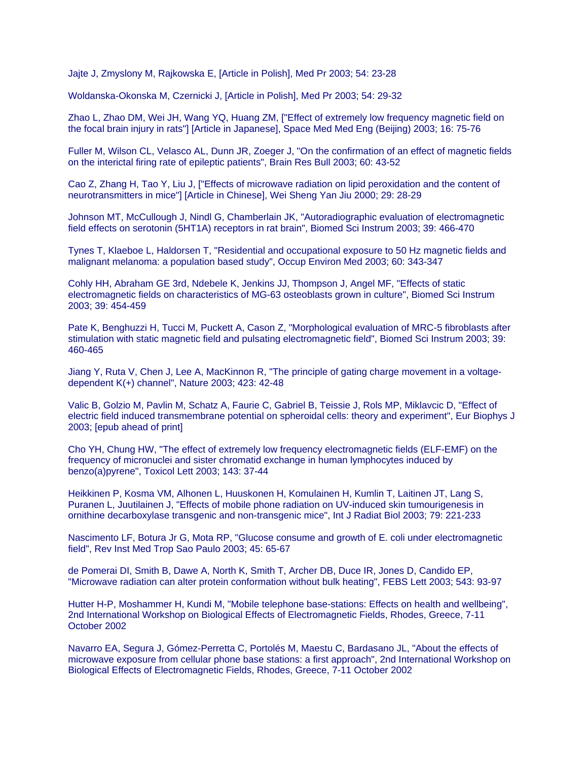Jajte J, Zmyslony M, Rajkowska E, [Article in Polish], Med Pr 2003; 54: 23-28

Woldanska-Okonska M, Czernicki J, [Article in Polish], Med Pr 2003; 54: 29-32

Zhao L, Zhao DM, Wei JH, Wang YQ, Huang ZM, ["Effect of extremely low frequency magnetic field on the focal brain injury in rats"] [Article in Japanese], Space Med Med Eng (Beijing) 2003; 16: 75-76

Fuller M, Wilson CL, Velasco AL, Dunn JR, Zoeger J, "On the confirmation of an effect of magnetic fields on the interictal firing rate of epileptic patients", Brain Res Bull 2003; 60: 43-52

Cao Z, Zhang H, Tao Y, Liu J, ["Effects of microwave radiation on lipid peroxidation and the content of neurotransmitters in mice"] [Article in Chinese], Wei Sheng Yan Jiu 2000; 29: 28-29

Johnson MT, McCullough J, Nindl G, Chamberlain JK, "Autoradiographic evaluation of electromagnetic field effects on serotonin (5HT1A) receptors in rat brain", Biomed Sci Instrum 2003; 39: 466-470

Tynes T, Klaeboe L, Haldorsen T, "Residential and occupational exposure to 50 Hz magnetic fields and malignant melanoma: a population based study", Occup Environ Med 2003; 60: 343-347

Cohly HH, Abraham GE 3rd, Ndebele K, Jenkins JJ, Thompson J, Angel MF, "Effects of static electromagnetic fields on characteristics of MG-63 osteoblasts grown in culture", Biomed Sci Instrum 2003; 39: 454-459

Pate K, Benghuzzi H, Tucci M, Puckett A, Cason Z, "Morphological evaluation of MRC-5 fibroblasts after stimulation with static magnetic field and pulsating electromagnetic field", Biomed Sci Instrum 2003; 39: 460-465

Jiang Y, Ruta V, Chen J, Lee A, MacKinnon R, "The principle of gating charge movement in a voltagedependent K(+) channel", Nature 2003; 423: 42-48

Valic B, Golzio M, Pavlin M, Schatz A, Faurie C, Gabriel B, Teissie J, Rols MP, Miklavcic D, "Effect of electric field induced transmembrane potential on spheroidal cells: theory and experiment", Eur Biophys J 2003; [epub ahead of print]

Cho YH, Chung HW, "The effect of extremely low frequency electromagnetic fields (ELF-EMF) on the frequency of micronuclei and sister chromatid exchange in human lymphocytes induced by benzo(a)pyrene", Toxicol Lett 2003; 143: 37-44

Heikkinen P, Kosma VM, Alhonen L, Huuskonen H, Komulainen H, Kumlin T, Laitinen JT, Lang S, Puranen L, Juutilainen J, "Effects of mobile phone radiation on UV-induced skin tumourigenesis in ornithine decarboxylase transgenic and non-transgenic mice", Int J Radiat Biol 2003; 79: 221-233

Nascimento LF, Botura Jr G, Mota RP, "Glucose consume and growth of E. coli under electromagnetic field", Rev Inst Med Trop Sao Paulo 2003; 45: 65-67

de Pomerai DI, Smith B, Dawe A, North K, Smith T, Archer DB, Duce IR, Jones D, Candido EP, "Microwave radiation can alter protein conformation without bulk heating", FEBS Lett 2003; 543: 93-97

Hutter H-P, Moshammer H, Kundi M, "Mobile telephone base-stations: Effects on health and wellbeing", 2nd International Workshop on Biological Effects of Electromagnetic Fields, Rhodes, Greece, 7-11 October 2002

Navarro EA, Segura J, Gómez-Perretta C, Portolés M, Maestu C, Bardasano JL, "About the effects of microwave exposure from cellular phone base stations: a first approach", 2nd International Workshop on Biological Effects of Electromagnetic Fields, Rhodes, Greece, 7-11 October 2002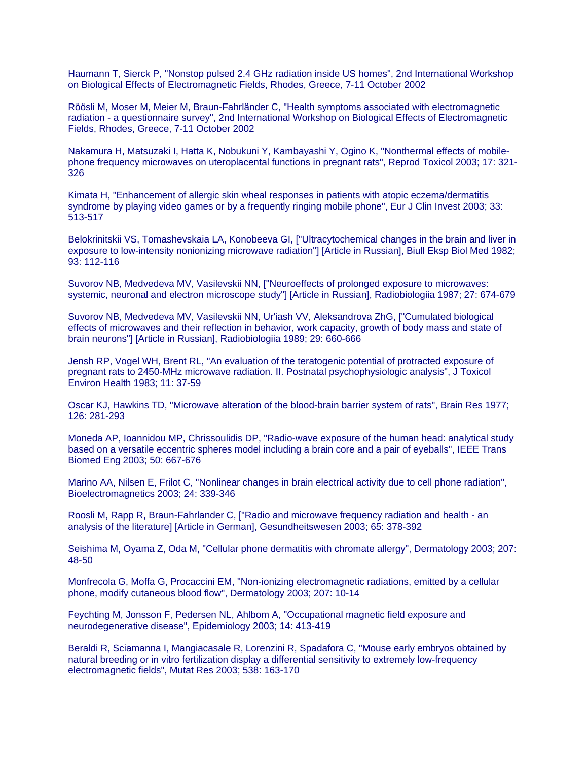Haumann T, Sierck P, "Nonstop pulsed 2.4 GHz radiation inside US homes", 2nd International Workshop on Biological Effects of Electromagnetic Fields, Rhodes, Greece, 7-11 October 2002

Röösli M, Moser M, Meier M, Braun-Fahrländer C, "Health symptoms associated with electromagnetic radiation - a questionnaire survey", 2nd International Workshop on Biological Effects of Electromagnetic Fields, Rhodes, Greece, 7-11 October 2002

Nakamura H, Matsuzaki I, Hatta K, Nobukuni Y, Kambayashi Y, Ogino K, "Nonthermal effects of mobilephone frequency microwaves on uteroplacental functions in pregnant rats", Reprod Toxicol 2003; 17: 321- 326

Kimata H, "Enhancement of allergic skin wheal responses in patients with atopic eczema/dermatitis syndrome by playing video games or by a frequently ringing mobile phone", Eur J Clin Invest 2003; 33: 513-517

Belokrinitskii VS, Tomashevskaia LA, Konobeeva GI, ["Ultracytochemical changes in the brain and liver in exposure to low-intensity nonionizing microwave radiation"] [Article in Russian], Biull Eksp Biol Med 1982; 93: 112-116

Suvorov NB, Medvedeva MV, Vasilevskii NN, ["Neuroeffects of prolonged exposure to microwaves: systemic, neuronal and electron microscope study"] [Article in Russian], Radiobiologiia 1987; 27: 674-679

Suvorov NB, Medvedeva MV, Vasilevskii NN, Ur'iash VV, Aleksandrova ZhG, ["Cumulated biological effects of microwaves and their reflection in behavior, work capacity, growth of body mass and state of brain neurons"] [Article in Russian], Radiobiologiia 1989; 29: 660-666

Jensh RP, Vogel WH, Brent RL, "An evaluation of the teratogenic potential of protracted exposure of pregnant rats to 2450-MHz microwave radiation. II. Postnatal psychophysiologic analysis", J Toxicol Environ Health 1983; 11: 37-59

Oscar KJ, Hawkins TD, "Microwave alteration of the blood-brain barrier system of rats", Brain Res 1977; 126: 281-293

Moneda AP, Ioannidou MP, Chrissoulidis DP, "Radio-wave exposure of the human head: analytical study based on a versatile eccentric spheres model including a brain core and a pair of eyeballs", IEEE Trans Biomed Eng 2003; 50: 667-676

Marino AA, Nilsen E, Frilot C, "Nonlinear changes in brain electrical activity due to cell phone radiation", Bioelectromagnetics 2003; 24: 339-346

Roosli M, Rapp R, Braun-Fahrlander C, ["Radio and microwave frequency radiation and health - an analysis of the literature] [Article in German], Gesundheitswesen 2003; 65: 378-392

Seishima M, Oyama Z, Oda M, "Cellular phone dermatitis with chromate allergy", Dermatology 2003; 207: 48-50

Monfrecola G, Moffa G, Procaccini EM, "Non-ionizing electromagnetic radiations, emitted by a cellular phone, modify cutaneous blood flow", Dermatology 2003; 207: 10-14

Feychting M, Jonsson F, Pedersen NL, Ahlbom A, "Occupational magnetic field exposure and neurodegenerative disease", Epidemiology 2003; 14: 413-419

Beraldi R, Sciamanna I, Mangiacasale R, Lorenzini R, Spadafora C, "Mouse early embryos obtained by natural breeding or in vitro fertilization display a differential sensitivity to extremely low-frequency electromagnetic fields", Mutat Res 2003; 538: 163-170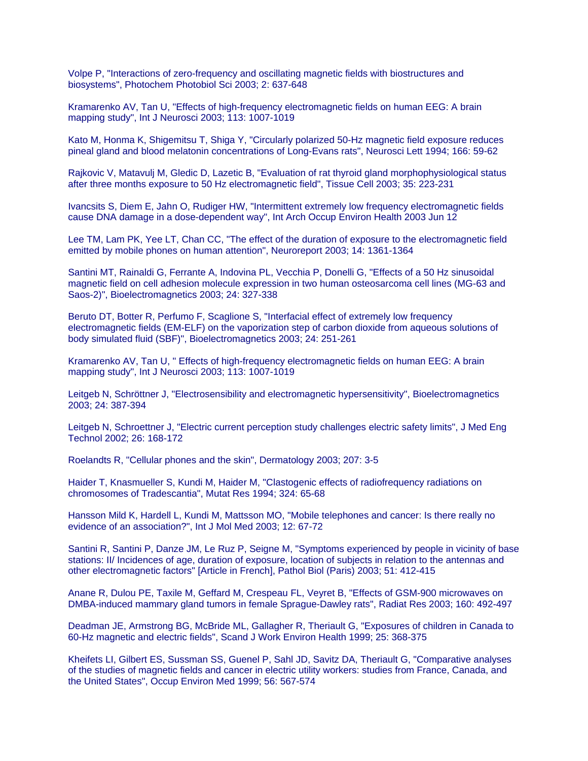Volpe P, "Interactions of zero-frequency and oscillating magnetic fields with biostructures and biosystems", Photochem Photobiol Sci 2003; 2: 637-648

Kramarenko AV, Tan U, "Effects of high-frequency electromagnetic fields on human EEG: A brain mapping study", Int J Neurosci 2003; 113: 1007-1019

Kato M, Honma K, Shigemitsu T, Shiga Y, "Circularly polarized 50-Hz magnetic field exposure reduces pineal gland and blood melatonin concentrations of Long-Evans rats", Neurosci Lett 1994; 166: 59-62

Rajkovic V, Matavulj M, Gledic D, Lazetic B, "Evaluation of rat thyroid gland morphophysiological status after three months exposure to 50 Hz electromagnetic field", Tissue Cell 2003; 35: 223-231

Ivancsits S, Diem E, Jahn O, Rudiger HW, "Intermittent extremely low frequency electromagnetic fields cause DNA damage in a dose-dependent way", Int Arch Occup Environ Health 2003 Jun 12

Lee TM, Lam PK, Yee LT, Chan CC, "The effect of the duration of exposure to the electromagnetic field emitted by mobile phones on human attention", Neuroreport 2003; 14: 1361-1364

Santini MT, Rainaldi G, Ferrante A, Indovina PL, Vecchia P, Donelli G, "Effects of a 50 Hz sinusoidal magnetic field on cell adhesion molecule expression in two human osteosarcoma cell lines (MG-63 and Saos-2)", Bioelectromagnetics 2003; 24: 327-338

Beruto DT, Botter R, Perfumo F, Scaglione S, "Interfacial effect of extremely low frequency electromagnetic fields (EM-ELF) on the vaporization step of carbon dioxide from aqueous solutions of body simulated fluid (SBF)", Bioelectromagnetics 2003; 24: 251-261

Kramarenko AV, Tan U, " Effects of high-frequency electromagnetic fields on human EEG: A brain mapping study", Int J Neurosci 2003; 113: 1007-1019

Leitgeb N, Schröttner J, "Electrosensibility and electromagnetic hypersensitivity", Bioelectromagnetics 2003; 24: 387-394

Leitgeb N, Schroettner J, "Electric current perception study challenges electric safety limits", J Med Eng Technol 2002; 26: 168-172

Roelandts R, "Cellular phones and the skin", Dermatology 2003; 207: 3-5

Haider T, Knasmueller S, Kundi M, Haider M, "Clastogenic effects of radiofrequency radiations on chromosomes of Tradescantia", Mutat Res 1994; 324: 65-68

Hansson Mild K, Hardell L, Kundi M, Mattsson MO, "Mobile telephones and cancer: Is there really no evidence of an association?", Int J Mol Med 2003; 12: 67-72

Santini R, Santini P, Danze JM, Le Ruz P, Seigne M, "Symptoms experienced by people in vicinity of base stations: II/ Incidences of age, duration of exposure, location of subjects in relation to the antennas and other electromagnetic factors" [Article in French], Pathol Biol (Paris) 2003; 51: 412-415

Anane R, Dulou PE, Taxile M, Geffard M, Crespeau FL, Veyret B, "Effects of GSM-900 microwaves on DMBA-induced mammary gland tumors in female Sprague-Dawley rats", Radiat Res 2003; 160: 492-497

Deadman JE, Armstrong BG, McBride ML, Gallagher R, Theriault G, "Exposures of children in Canada to 60-Hz magnetic and electric fields", Scand J Work Environ Health 1999; 25: 368-375

Kheifets LI, Gilbert ES, Sussman SS, Guenel P, Sahl JD, Savitz DA, Theriault G, "Comparative analyses of the studies of magnetic fields and cancer in electric utility workers: studies from France, Canada, and the United States", Occup Environ Med 1999; 56: 567-574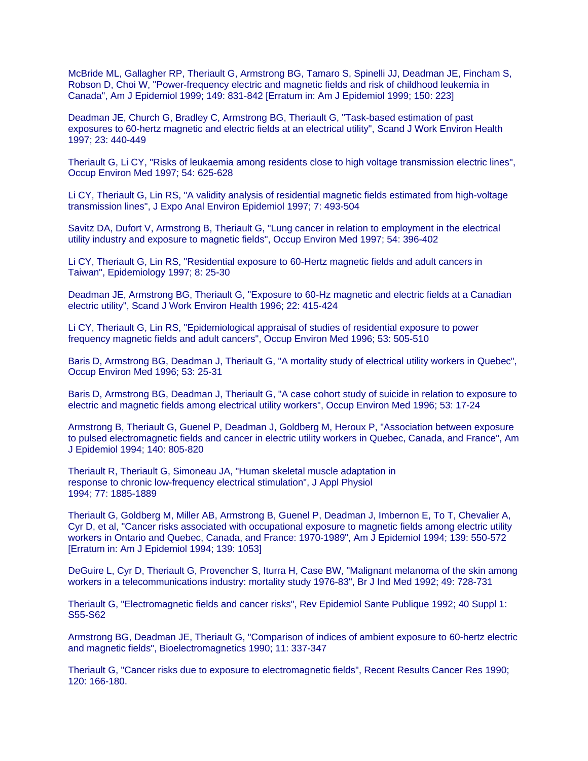McBride ML, Gallagher RP, Theriault G, Armstrong BG, Tamaro S, Spinelli JJ, Deadman JE, Fincham S, Robson D, Choi W, "Power-frequency electric and magnetic fields and risk of childhood leukemia in Canada", Am J Epidemiol 1999; 149: 831-842 [Erratum in: Am J Epidemiol 1999; 150: 223]

Deadman JE, Church G, Bradley C, Armstrong BG, Theriault G, "Task-based estimation of past exposures to 60-hertz magnetic and electric fields at an electrical utility", Scand J Work Environ Health 1997; 23: 440-449

Theriault G, Li CY, "Risks of leukaemia among residents close to high voltage transmission electric lines", Occup Environ Med 1997; 54: 625-628

Li CY, Theriault G, Lin RS, "A validity analysis of residential magnetic fields estimated from high-voltage transmission lines", J Expo Anal Environ Epidemiol 1997; 7: 493-504

Savitz DA, Dufort V, Armstrong B, Theriault G, "Lung cancer in relation to employment in the electrical utility industry and exposure to magnetic fields", Occup Environ Med 1997; 54: 396-402

Li CY, Theriault G, Lin RS, "Residential exposure to 60-Hertz magnetic fields and adult cancers in Taiwan", Epidemiology 1997; 8: 25-30

Deadman JE, Armstrong BG, Theriault G, "Exposure to 60-Hz magnetic and electric fields at a Canadian electric utility", Scand J Work Environ Health 1996; 22: 415-424

Li CY, Theriault G, Lin RS, "Epidemiological appraisal of studies of residential exposure to power frequency magnetic fields and adult cancers", Occup Environ Med 1996; 53: 505-510

Baris D, Armstrong BG, Deadman J, Theriault G, "A mortality study of electrical utility workers in Quebec", Occup Environ Med 1996; 53: 25-31

Baris D, Armstrong BG, Deadman J, Theriault G, "A case cohort study of suicide in relation to exposure to electric and magnetic fields among electrical utility workers", Occup Environ Med 1996; 53: 17-24

Armstrong B, Theriault G, Guenel P, Deadman J, Goldberg M, Heroux P, "Association between exposure to pulsed electromagnetic fields and cancer in electric utility workers in Quebec, Canada, and France", Am J Epidemiol 1994; 140: 805-820

Theriault R, Theriault G, Simoneau JA, "Human skeletal muscle adaptation in response to chronic low-frequency electrical stimulation", J Appl Physiol 1994; 77: 1885-1889

Theriault G, Goldberg M, Miller AB, Armstrong B, Guenel P, Deadman J, Imbernon E, To T, Chevalier A, Cyr D, et al, "Cancer risks associated with occupational exposure to magnetic fields among electric utility workers in Ontario and Quebec, Canada, and France: 1970-1989", Am J Epidemiol 1994; 139: 550-572 [Erratum in: Am J Epidemiol 1994; 139: 1053]

DeGuire L, Cyr D, Theriault G, Provencher S, Iturra H, Case BW, "Malignant melanoma of the skin among workers in a telecommunications industry: mortality study 1976-83", Br J Ind Med 1992; 49: 728-731

Theriault G, "Electromagnetic fields and cancer risks", Rev Epidemiol Sante Publique 1992; 40 Suppl 1: S55-S62

Armstrong BG, Deadman JE, Theriault G, "Comparison of indices of ambient exposure to 60-hertz electric and magnetic fields", Bioelectromagnetics 1990; 11: 337-347

Theriault G, "Cancer risks due to exposure to electromagnetic fields", Recent Results Cancer Res 1990; 120: 166-180.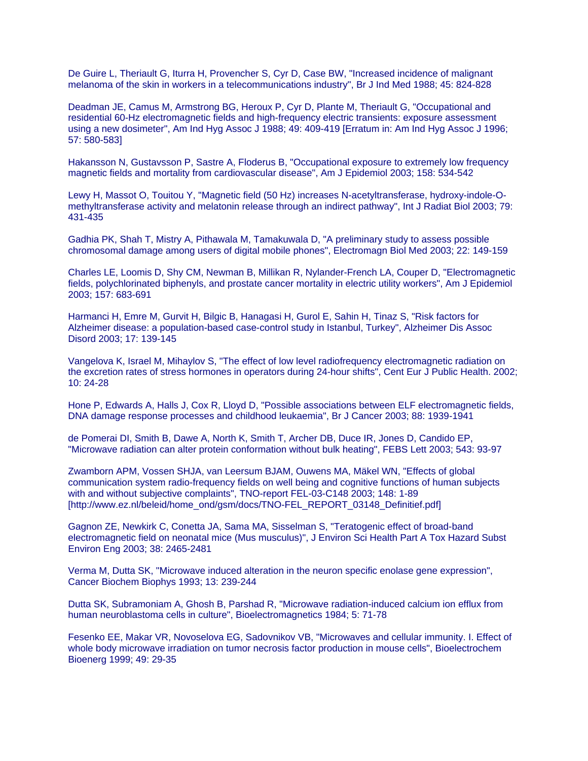De Guire L, Theriault G, Iturra H, Provencher S, Cyr D, Case BW, "Increased incidence of malignant melanoma of the skin in workers in a telecommunications industry", Br J Ind Med 1988; 45: 824-828

Deadman JE, Camus M, Armstrong BG, Heroux P, Cyr D, Plante M, Theriault G, "Occupational and residential 60-Hz electromagnetic fields and high-frequency electric transients: exposure assessment using a new dosimeter", Am Ind Hyg Assoc J 1988; 49: 409-419 [Erratum in: Am Ind Hyg Assoc J 1996; 57: 580-583]

Hakansson N, Gustavsson P, Sastre A, Floderus B, "Occupational exposure to extremely low frequency magnetic fields and mortality from cardiovascular disease", Am J Epidemiol 2003; 158: 534-542

Lewy H, Massot O, Touitou Y, "Magnetic field (50 Hz) increases N-acetyltransferase, hydroxy-indole-Omethyltransferase activity and melatonin release through an indirect pathway", Int J Radiat Biol 2003; 79: 431-435

Gadhia PK, Shah T, Mistry A, Pithawala M, Tamakuwala D, "A preliminary study to assess possible chromosomal damage among users of digital mobile phones", Electromagn Biol Med 2003; 22: 149-159

Charles LE, Loomis D, Shy CM, Newman B, Millikan R, Nylander-French LA, Couper D, "Electromagnetic fields, polychlorinated biphenyls, and prostate cancer mortality in electric utility workers", Am J Epidemiol 2003; 157: 683-691

Harmanci H, Emre M, Gurvit H, Bilgic B, Hanagasi H, Gurol E, Sahin H, Tinaz S, "Risk factors for Alzheimer disease: a population-based case-control study in Istanbul, Turkey", Alzheimer Dis Assoc Disord 2003; 17: 139-145

Vangelova K, Israel M, Mihaylov S, "The effect of low level radiofrequency electromagnetic radiation on the excretion rates of stress hormones in operators during 24-hour shifts", Cent Eur J Public Health. 2002; 10: 24-28

Hone P, Edwards A, Halls J, Cox R, Lloyd D, "Possible associations between ELF electromagnetic fields, DNA damage response processes and childhood leukaemia", Br J Cancer 2003; 88: 1939-1941

de Pomerai DI, Smith B, Dawe A, North K, Smith T, Archer DB, Duce IR, Jones D, Candido EP, "Microwave radiation can alter protein conformation without bulk heating", FEBS Lett 2003; 543: 93-97

Zwamborn APM, Vossen SHJA, van Leersum BJAM, Ouwens MA, Mäkel WN, "Effects of global communication system radio-frequency fields on well being and cognitive functions of human subjects with and without subjective complaints", TNO-report FEL-03-C148 2003; 148: 1-89 [http://www.ez.nl/beleid/home\_ond/gsm/docs/TNO-FEL\_REPORT\_03148\_Definitief.pdf]

Gagnon ZE, Newkirk C, Conetta JA, Sama MA, Sisselman S, "Teratogenic effect of broad-band electromagnetic field on neonatal mice (Mus musculus)", J Environ Sci Health Part A Tox Hazard Subst Environ Eng 2003; 38: 2465-2481

Verma M, Dutta SK, "Microwave induced alteration in the neuron specific enolase gene expression", Cancer Biochem Biophys 1993; 13: 239-244

Dutta SK, Subramoniam A, Ghosh B, Parshad R, "Microwave radiation-induced calcium ion efflux from human neuroblastoma cells in culture", Bioelectromagnetics 1984; 5: 71-78

Fesenko EE, Makar VR, Novoselova EG, Sadovnikov VB, "Microwaves and cellular immunity. I. Effect of whole body microwave irradiation on tumor necrosis factor production in mouse cells", Bioelectrochem Bioenerg 1999; 49: 29-35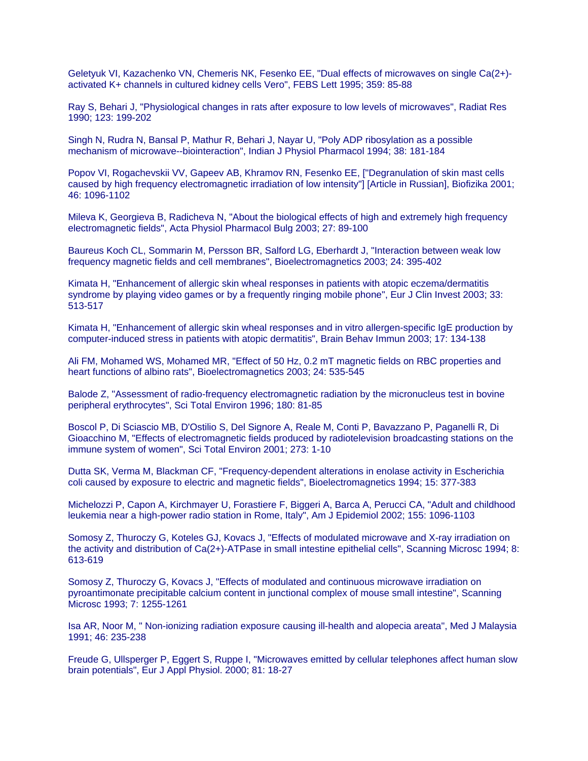Geletyuk VI, Kazachenko VN, Chemeris NK, Fesenko EE, "Dual effects of microwaves on single Ca(2+) activated K+ channels in cultured kidney cells Vero", FEBS Lett 1995; 359: 85-88

Ray S, Behari J, "Physiological changes in rats after exposure to low levels of microwaves", Radiat Res 1990; 123: 199-202

Singh N, Rudra N, Bansal P, Mathur R, Behari J, Nayar U, "Poly ADP ribosylation as a possible mechanism of microwave--biointeraction", Indian J Physiol Pharmacol 1994; 38: 181-184

Popov VI, Rogachevskii VV, Gapeev AB, Khramov RN, Fesenko EE, ["Degranulation of skin mast cells caused by high frequency electromagnetic irradiation of low intensity"] [Article in Russian], Biofizika 2001; 46: 1096-1102

Mileva K, Georgieva B, Radicheva N, "About the biological effects of high and extremely high frequency electromagnetic fields", Acta Physiol Pharmacol Bulg 2003; 27: 89-100

Baureus Koch CL, Sommarin M, Persson BR, Salford LG, Eberhardt J, "Interaction between weak low frequency magnetic fields and cell membranes", Bioelectromagnetics 2003; 24: 395-402

Kimata H, "Enhancement of allergic skin wheal responses in patients with atopic eczema/dermatitis syndrome by playing video games or by a frequently ringing mobile phone", Eur J Clin Invest 2003; 33: 513-517

Kimata H, "Enhancement of allergic skin wheal responses and in vitro allergen-specific IgE production by computer-induced stress in patients with atopic dermatitis", Brain Behav Immun 2003; 17: 134-138

Ali FM, Mohamed WS, Mohamed MR, "Effect of 50 Hz, 0.2 mT magnetic fields on RBC properties and heart functions of albino rats", Bioelectromagnetics 2003; 24: 535-545

Balode Z, "Assessment of radio-frequency electromagnetic radiation by the micronucleus test in bovine peripheral erythrocytes", Sci Total Environ 1996; 180: 81-85

Boscol P, Di Sciascio MB, D'Ostilio S, Del Signore A, Reale M, Conti P, Bavazzano P, Paganelli R, Di Gioacchino M, "Effects of electromagnetic fields produced by radiotelevision broadcasting stations on the immune system of women", Sci Total Environ 2001; 273: 1-10

Dutta SK, Verma M, Blackman CF, "Frequency-dependent alterations in enolase activity in Escherichia coli caused by exposure to electric and magnetic fields", Bioelectromagnetics 1994; 15: 377-383

Michelozzi P, Capon A, Kirchmayer U, Forastiere F, Biggeri A, Barca A, Perucci CA, "Adult and childhood leukemia near a high-power radio station in Rome, Italy", Am J Epidemiol 2002; 155: 1096-1103

Somosy Z, Thuroczy G, Koteles GJ, Kovacs J, "Effects of modulated microwave and X-ray irradiation on the activity and distribution of Ca(2+)-ATPase in small intestine epithelial cells", Scanning Microsc 1994; 8: 613-619

Somosy Z, Thuroczy G, Kovacs J, "Effects of modulated and continuous microwave irradiation on pyroantimonate precipitable calcium content in junctional complex of mouse small intestine", Scanning Microsc 1993; 7: 1255-1261

Isa AR, Noor M, " Non-ionizing radiation exposure causing ill-health and alopecia areata", Med J Malaysia 1991; 46: 235-238

Freude G, Ullsperger P, Eggert S, Ruppe I, "Microwaves emitted by cellular telephones affect human slow brain potentials", Eur J Appl Physiol. 2000; 81: 18-27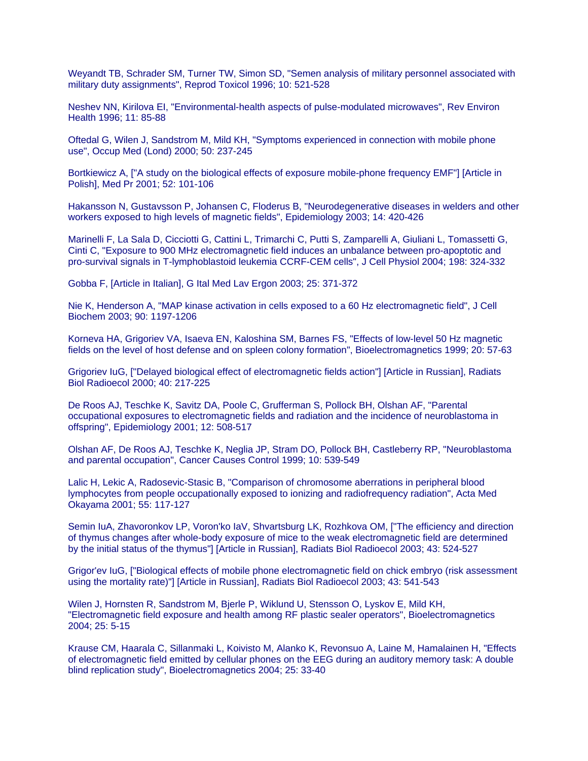Weyandt TB, Schrader SM, Turner TW, Simon SD, "Semen analysis of military personnel associated with military duty assignments", Reprod Toxicol 1996; 10: 521-528

Neshev NN, Kirilova EI, "Environmental-health aspects of pulse-modulated microwaves", Rev Environ Health 1996; 11: 85-88

Oftedal G, Wilen J, Sandstrom M, Mild KH, "Symptoms experienced in connection with mobile phone use", Occup Med (Lond) 2000; 50: 237-245

Bortkiewicz A, ["A study on the biological effects of exposure mobile-phone frequency EMF"] [Article in Polish], Med Pr 2001; 52: 101-106

Hakansson N, Gustavsson P, Johansen C, Floderus B, "Neurodegenerative diseases in welders and other workers exposed to high levels of magnetic fields", Epidemiology 2003; 14: 420-426

Marinelli F, La Sala D, Cicciotti G, Cattini L, Trimarchi C, Putti S, Zamparelli A, Giuliani L, Tomassetti G, Cinti C, "Exposure to 900 MHz electromagnetic field induces an unbalance between pro-apoptotic and pro-survival signals in T-lymphoblastoid leukemia CCRF-CEM cells", J Cell Physiol 2004; 198: 324-332

Gobba F, [Article in Italian], G Ital Med Lav Ergon 2003; 25: 371-372

Nie K, Henderson A, "MAP kinase activation in cells exposed to a 60 Hz electromagnetic field", J Cell Biochem 2003; 90: 1197-1206

Korneva HA, Grigoriev VA, Isaeva EN, Kaloshina SM, Barnes FS, "Effects of low-level 50 Hz magnetic fields on the level of host defense and on spleen colony formation", Bioelectromagnetics 1999; 20: 57-63

Grigoriev IuG, ["Delayed biological effect of electromagnetic fields action"] [Article in Russian], Radiats Biol Radioecol 2000; 40: 217-225

De Roos AJ, Teschke K, Savitz DA, Poole C, Grufferman S, Pollock BH, Olshan AF, "Parental occupational exposures to electromagnetic fields and radiation and the incidence of neuroblastoma in offspring", Epidemiology 2001; 12: 508-517

Olshan AF, De Roos AJ, Teschke K, Neglia JP, Stram DO, Pollock BH, Castleberry RP, "Neuroblastoma and parental occupation", Cancer Causes Control 1999; 10: 539-549

Lalic H, Lekic A, Radosevic-Stasic B, "Comparison of chromosome aberrations in peripheral blood lymphocytes from people occupationally exposed to ionizing and radiofrequency radiation", Acta Med Okayama 2001; 55: 117-127

Semin IuA, Zhavoronkov LP, Voron'ko IaV, Shvartsburg LK, Rozhkova OM, ["The efficiency and direction of thymus changes after whole-body exposure of mice to the weak electromagnetic field are determined by the initial status of the thymus"] [Article in Russian], Radiats Biol Radioecol 2003; 43: 524-527

Grigor'ev IuG, ["Biological effects of mobile phone electromagnetic field on chick embryo (risk assessment using the mortality rate)"] [Article in Russian], Radiats Biol Radioecol 2003; 43: 541-543

Wilen J, Hornsten R, Sandstrom M, Bjerle P, Wiklund U, Stensson O, Lyskov E, Mild KH, "Electromagnetic field exposure and health among RF plastic sealer operators", Bioelectromagnetics 2004; 25: 5-15

Krause CM, Haarala C, Sillanmaki L, Koivisto M, Alanko K, Revonsuo A, Laine M, Hamalainen H, "Effects of electromagnetic field emitted by cellular phones on the EEG during an auditory memory task: A double blind replication study", Bioelectromagnetics 2004; 25: 33-40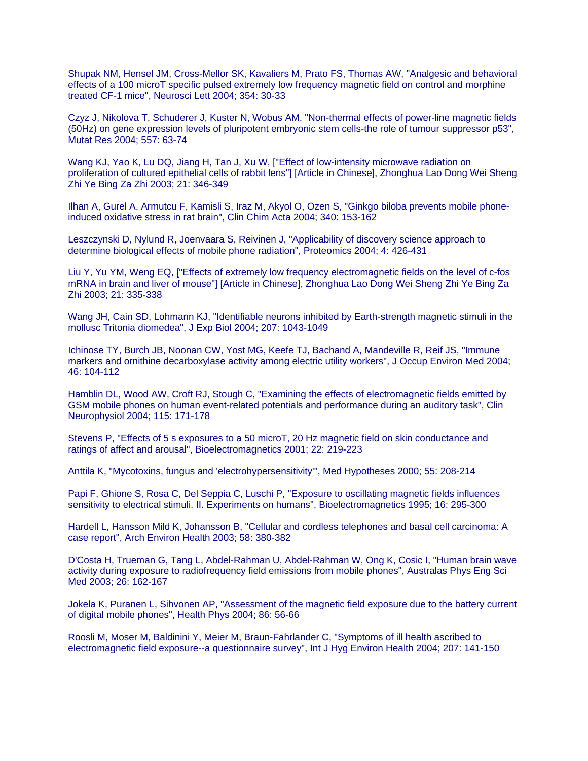Shupak NM, Hensel JM, Cross-Mellor SK, Kavaliers M, Prato FS, Thomas AW, "Analgesic and behavioral effects of a 100 microT specific pulsed extremely low frequency magnetic field on control and morphine treated CF-1 mice", Neurosci Lett 2004; 354: 30-33

Czyz J, Nikolova T, Schuderer J, Kuster N, Wobus AM, "Non-thermal effects of power-line magnetic fields (50Hz) on gene expression levels of pluripotent embryonic stem cells-the role of tumour suppressor p53", Mutat Res 2004; 557: 63-74

Wang KJ, Yao K, Lu DQ, Jiang H, Tan J, Xu W, ["Effect of low-intensity microwave radiation on proliferation of cultured epithelial cells of rabbit lens"] [Article in Chinese], Zhonghua Lao Dong Wei Sheng Zhi Ye Bing Za Zhi 2003; 21: 346-349

Ilhan A, Gurel A, Armutcu F, Kamisli S, Iraz M, Akyol O, Ozen S, "Ginkgo biloba prevents mobile phoneinduced oxidative stress in rat brain", Clin Chim Acta 2004; 340: 153-162

Leszczynski D, Nylund R, Joenvaara S, Reivinen J, "Applicability of discovery science approach to determine biological effects of mobile phone radiation", Proteomics 2004; 4: 426-431

Liu Y, Yu YM, Weng EQ, ["Effects of extremely low frequency electromagnetic fields on the level of c-fos mRNA in brain and liver of mouse"] [Article in Chinese], Zhonghua Lao Dong Wei Sheng Zhi Ye Bing Za Zhi 2003; 21: 335-338

Wang JH, Cain SD, Lohmann KJ, "Identifiable neurons inhibited by Earth-strength magnetic stimuli in the mollusc Tritonia diomedea", J Exp Biol 2004; 207: 1043-1049

Ichinose TY, Burch JB, Noonan CW, Yost MG, Keefe TJ, Bachand A, Mandeville R, Reif JS, "Immune markers and ornithine decarboxylase activity among electric utility workers", J Occup Environ Med 2004; 46: 104-112

Hamblin DL, Wood AW, Croft RJ, Stough C, "Examining the effects of electromagnetic fields emitted by GSM mobile phones on human event-related potentials and performance during an auditory task", Clin Neurophysiol 2004; 115: 171-178

Stevens P, "Effects of 5 s exposures to a 50 microT, 20 Hz magnetic field on skin conductance and ratings of affect and arousal", Bioelectromagnetics 2001; 22: 219-223

Anttila K, "Mycotoxins, fungus and 'electrohypersensitivity'", Med Hypotheses 2000; 55: 208-214

Papi F, Ghione S, Rosa C, Del Seppia C, Luschi P, "Exposure to oscillating magnetic fields influences sensitivity to electrical stimuli. II. Experiments on humans", Bioelectromagnetics 1995; 16: 295-300

Hardell L, Hansson Mild K, Johansson B, "Cellular and cordless telephones and basal cell carcinoma: A case report", Arch Environ Health 2003; 58: 380-382

D'Costa H, Trueman G, Tang L, Abdel-Rahman U, Abdel-Rahman W, Ong K, Cosic I, "Human brain wave activity during exposure to radiofrequency field emissions from mobile phones", Australas Phys Eng Sci Med 2003; 26: 162-167

Jokela K, Puranen L, Sihvonen AP, "Assessment of the magnetic field exposure due to the battery current of digital mobile phones", Health Phys 2004; 86: 56-66

Roosli M, Moser M, Baldinini Y, Meier M, Braun-Fahrlander C, "Symptoms of ill health ascribed to electromagnetic field exposure--a questionnaire survey", Int J Hyg Environ Health 2004; 207: 141-150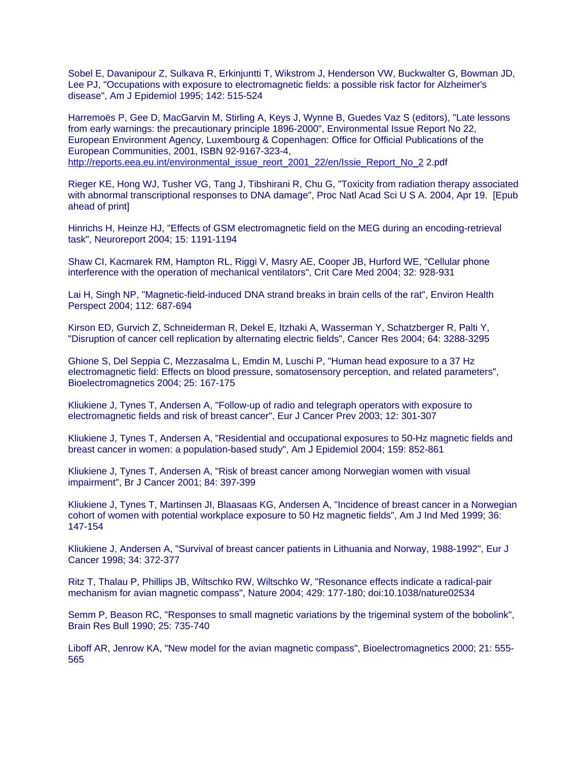Sobel E, Davanipour Z, Sulkava R, Erkinjuntti T, Wikstrom J, Henderson VW, Buckwalter G, Bowman JD, Lee PJ, "Occupations with exposure to electromagnetic fields: a possible risk factor for Alzheimer's disease", Am J Epidemiol 1995; 142: 515-524

Harremoës P, Gee D, MacGarvin M, Stirling A, Keys J, Wynne B, Guedes Vaz S (editors), "Late lessons from early warnings: the precautionary principle 1896-2000", Environmental Issue Report No 22, European Environment Agency, Luxembourg & Copenhagen: Office for Official Publications of the European Communities, 2001, ISBN 92-9167-323-4, [http://reports.eea.eu.int/environmental\\_issue\\_reort\\_2001\\_22/en/Issie\\_Report\\_No\\_2](http://reports.eea.eu.int/environmental_issue_reort_2001_22/en/Issie_Report_No_2) 2.pdf

Rieger KE, Hong WJ, Tusher VG, Tang J, Tibshirani R, Chu G, "Toxicity from radiation therapy associated with abnormal transcriptional responses to DNA damage", Proc Natl Acad Sci U S A. 2004, Apr 19. [Epub ahead of print]

Hinrichs H, Heinze HJ, "Effects of GSM electromagnetic field on the MEG during an encoding-retrieval task", Neuroreport 2004; 15: 1191-1194

Shaw CI, Kacmarek RM, Hampton RL, Riggi V, Masry AE, Cooper JB, Hurford WE, "Cellular phone interference with the operation of mechanical ventilators", Crit Care Med 2004; 32: 928-931

Lai H, Singh NP, "Magnetic-field-induced DNA strand breaks in brain cells of the rat", Environ Health Perspect 2004; 112: 687-694

Kirson ED, Gurvich Z, Schneiderman R, Dekel E, Itzhaki A, Wasserman Y, Schatzberger R, Palti Y, "Disruption of cancer cell replication by alternating electric fields", Cancer Res 2004; 64: 3288-3295

Ghione S, Del Seppia C, Mezzasalma L, Emdin M, Luschi P, "Human head exposure to a 37 Hz electromagnetic field: Effects on blood pressure, somatosensory perception, and related parameters", Bioelectromagnetics 2004; 25: 167-175

Kliukiene J, Tynes T, Andersen A, "Follow-up of radio and telegraph operators with exposure to electromagnetic fields and risk of breast cancer", Eur J Cancer Prev 2003; 12: 301-307

Kliukiene J, Tynes T, Andersen A, "Residential and occupational exposures to 50-Hz magnetic fields and breast cancer in women: a population-based study", Am J Epidemiol 2004; 159: 852-861

Kliukiene J, Tynes T, Andersen A, "Risk of breast cancer among Norwegian women with visual impairment", Br J Cancer 2001; 84: 397-399

Kliukiene J, Tynes T, Martinsen JI, Blaasaas KG, Andersen A, "Incidence of breast cancer in a Norwegian cohort of women with potential workplace exposure to 50 Hz magnetic fields", Am J Ind Med 1999; 36: 147-154

Kliukiene J, Andersen A, "Survival of breast cancer patients in Lithuania and Norway, 1988-1992", Eur J Cancer 1998; 34: 372-377

Ritz T, Thalau P, Phillips JB, Wiltschko RW, Wiltschko W, "Resonance effects indicate a radical-pair mechanism for avian magnetic compass", Nature 2004; 429: 177-180; doi:10.1038/nature02534

Semm P, Beason RC, "Responses to small magnetic variations by the trigeminal system of the bobolink", Brain Res Bull 1990; 25: 735-740

Liboff AR, Jenrow KA, "New model for the avian magnetic compass", Bioelectromagnetics 2000; 21: 555- 565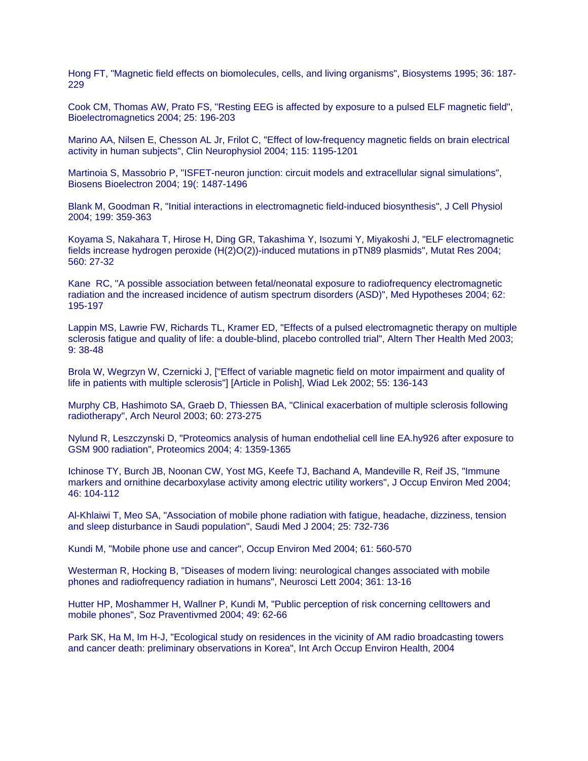Hong FT, "Magnetic field effects on biomolecules, cells, and living organisms", Biosystems 1995; 36: 187- 229

Cook CM, Thomas AW, Prato FS, "Resting EEG is affected by exposure to a pulsed ELF magnetic field", Bioelectromagnetics 2004; 25: 196-203

Marino AA, Nilsen E, Chesson AL Jr, Frilot C, "Effect of low-frequency magnetic fields on brain electrical activity in human subjects", Clin Neurophysiol 2004; 115: 1195-1201

Martinoia S, Massobrio P, "ISFET-neuron junction: circuit models and extracellular signal simulations", Biosens Bioelectron 2004; 19(: 1487-1496

Blank M, Goodman R, "Initial interactions in electromagnetic field-induced biosynthesis", J Cell Physiol 2004; 199: 359-363

Koyama S, Nakahara T, Hirose H, Ding GR, Takashima Y, Isozumi Y, Miyakoshi J, "ELF electromagnetic fields increase hydrogen peroxide (H(2)O(2))-induced mutations in pTN89 plasmids", Mutat Res 2004; 560: 27-32

Kane RC, "A possible association between fetal/neonatal exposure to radiofrequency electromagnetic radiation and the increased incidence of autism spectrum disorders (ASD)", Med Hypotheses 2004; 62: 195-197

Lappin MS, Lawrie FW, Richards TL, Kramer ED, "Effects of a pulsed electromagnetic therapy on multiple sclerosis fatigue and quality of life: a double-blind, placebo controlled trial", Altern Ther Health Med 2003; 9: 38-48

Brola W, Wegrzyn W, Czernicki J, ["Effect of variable magnetic field on motor impairment and quality of life in patients with multiple sclerosis"] [Article in Polish], Wiad Lek 2002; 55: 136-143

Murphy CB, Hashimoto SA, Graeb D, Thiessen BA, "Clinical exacerbation of multiple sclerosis following radiotherapy", Arch Neurol 2003; 60: 273-275

Nylund R, Leszczynski D, "Proteomics analysis of human endothelial cell line EA.hy926 after exposure to GSM 900 radiation", Proteomics 2004; 4: 1359-1365

Ichinose TY, Burch JB, Noonan CW, Yost MG, Keefe TJ, Bachand A, Mandeville R, Reif JS, "Immune markers and ornithine decarboxylase activity among electric utility workers", J Occup Environ Med 2004; 46: 104-112

Al-Khlaiwi T, Meo SA, "Association of mobile phone radiation with fatigue, headache, dizziness, tension and sleep disturbance in Saudi population", Saudi Med J 2004; 25: 732-736

Kundi M, "Mobile phone use and cancer", Occup Environ Med 2004; 61: 560-570

Westerman R, Hocking B, "Diseases of modern living: neurological changes associated with mobile phones and radiofrequency radiation in humans", Neurosci Lett 2004; 361: 13-16

Hutter HP, Moshammer H, Wallner P, Kundi M, "Public perception of risk concerning celltowers and mobile phones", Soz Praventivmed 2004; 49: 62-66

Park SK, Ha M, Im H-J, "Ecological study on residences in the vicinity of AM radio broadcasting towers and cancer death: preliminary observations in Korea", Int Arch Occup Environ Health, 2004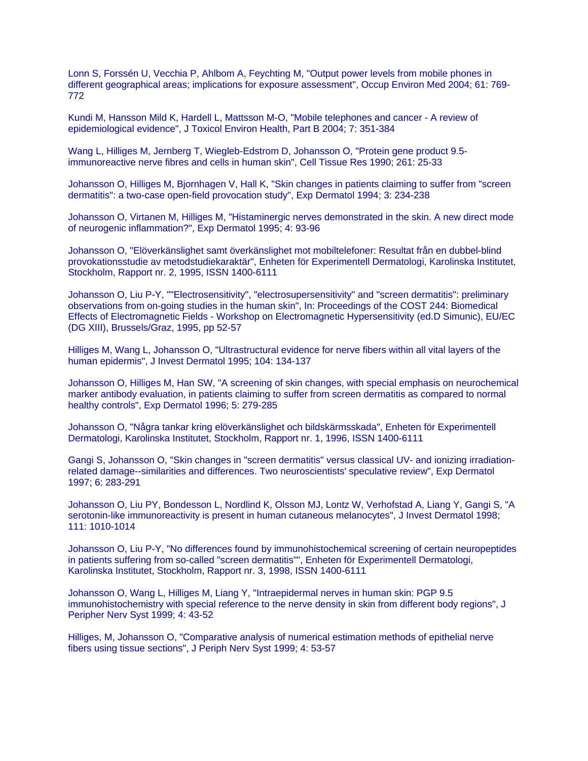Lonn S, Forssén U, Vecchia P, Ahlbom A, Feychting M, "Output power levels from mobile phones in different geographical areas; implications for exposure assessment", Occup Environ Med 2004; 61: 769- 772

Kundi M, Hansson Mild K, Hardell L, Mattsson M-O, "Mobile telephones and cancer - A review of epidemiological evidence", J Toxicol Environ Health, Part B 2004; 7: 351-384

Wang L, Hilliges M, Jernberg T, Wiegleb-Edstrom D, Johansson O, "Protein gene product 9.5 immunoreactive nerve fibres and cells in human skin", Cell Tissue Res 1990; 261: 25-33

Johansson O, Hilliges M, Bjornhagen V, Hall K, "Skin changes in patients claiming to suffer from "screen dermatitis": a two-case open-field provocation study", Exp Dermatol 1994; 3: 234-238

Johansson O, Virtanen M, Hilliges M, "Histaminergic nerves demonstrated in the skin. A new direct mode of neurogenic inflammation?", Exp Dermatol 1995; 4: 93-96

Johansson O, "Elöverkänslighet samt överkänslighet mot mobiltelefoner: Resultat från en dubbel-blind provokationsstudie av metodstudiekaraktär", Enheten för Experimentell Dermatologi, Karolinska Institutet, Stockholm, Rapport nr. 2, 1995, ISSN 1400-6111

Johansson O, Liu P-Y, ""Electrosensitivity", "electrosupersensitivity" and "screen dermatitis": preliminary observations from on-going studies in the human skin", In: Proceedings of the COST 244: Biomedical Effects of Electromagnetic Fields - Workshop on Electromagnetic Hypersensitivity (ed.D Simunic), EU/EC (DG XIII), Brussels/Graz, 1995, pp 52-57

Hilliges M, Wang L, Johansson O, "Ultrastructural evidence for nerve fibers within all vital layers of the human epidermis", J Invest Dermatol 1995; 104: 134-137

Johansson O, Hilliges M, Han SW, "A screening of skin changes, with special emphasis on neurochemical marker antibody evaluation, in patients claiming to suffer from screen dermatitis as compared to normal healthy controls", Exp Dermatol 1996; 5: 279-285

Johansson O, "Några tankar kring elöverkänslighet och bildskärmsskada", Enheten för Experimentell Dermatologi, Karolinska Institutet, Stockholm, Rapport nr. 1, 1996, ISSN 1400-6111

Gangi S, Johansson O, "Skin changes in "screen dermatitis" versus classical UV- and ionizing irradiationrelated damage--similarities and differences. Two neuroscientists' speculative review", Exp Dermatol 1997; 6: 283-291

Johansson O, Liu PY, Bondesson L, Nordlind K, Olsson MJ, Lontz W, Verhofstad A, Liang Y, Gangi S, "A serotonin-like immunoreactivity is present in human cutaneous melanocytes", J Invest Dermatol 1998; 111: 1010-1014

Johansson O, Liu P-Y, "No differences found by immunohistochemical screening of certain neuropeptides in patients suffering from so-called "screen dermatitis"", Enheten för Experimentell Dermatologi, Karolinska Institutet, Stockholm, Rapport nr. 3, 1998, ISSN 1400-6111

Johansson O, Wang L, Hilliges M, Liang Y, "Intraepidermal nerves in human skin: PGP 9.5 immunohistochemistry with special reference to the nerve density in skin from different body regions", J Peripher Nerv Syst 1999; 4: 43-52

Hilliges, M, Johansson O, "Comparative analysis of numerical estimation methods of epithelial nerve fibers using tissue sections", J Periph Nerv Syst 1999; 4: 53-57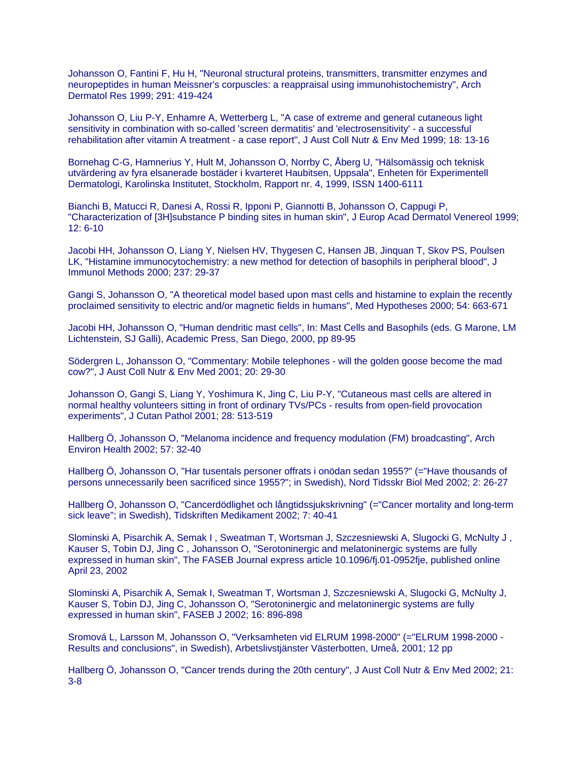Johansson O, Fantini F, Hu H, "Neuronal structural proteins, transmitters, transmitter enzymes and neuropeptides in human Meissner's corpuscles: a reappraisal using immunohistochemistry", Arch Dermatol Res 1999; 291: 419-424

Johansson O, Liu P-Y, Enhamre A, Wetterberg L, "A case of extreme and general cutaneous light sensitivity in combination with so-called 'screen dermatitis' and 'electrosensitivity' - a successful rehabilitation after vitamin A treatment - a case report", J Aust Coll Nutr & Env Med 1999; 18: 13-16

Bornehag C-G, Hamnerius Y, Hult M, Johansson O, Norrby C, Åberg U, "Hälsomässig och teknisk utvärdering av fyra elsanerade bostäder i kvarteret Haubitsen, Uppsala", Enheten för Experimentell Dermatologi, Karolinska Institutet, Stockholm, Rapport nr. 4, 1999, ISSN 1400-6111

Bianchi B, Matucci R, Danesi A, Rossi R, Ipponi P, Giannotti B, Johansson O, Cappugi P, "Characterization of [3H]substance P binding sites in human skin", J Europ Acad Dermatol Venereol 1999; 12: 6-10

Jacobi HH, Johansson O, Liang Y, Nielsen HV, Thygesen C, Hansen JB, Jinquan T, Skov PS, Poulsen LK, "Histamine immunocytochemistry: a new method for detection of basophils in peripheral blood", J Immunol Methods 2000; 237: 29-37

Gangi S, Johansson O, "A theoretical model based upon mast cells and histamine to explain the recently proclaimed sensitivity to electric and/or magnetic fields in humans", Med Hypotheses 2000; 54: 663-671

Jacobi HH, Johansson O, "Human dendritic mast cells", In: Mast Cells and Basophils (eds. G Marone, LM Lichtenstein, SJ Galli), Academic Press, San Diego, 2000, pp 89-95

Södergren L, Johansson O, "Commentary: Mobile telephones - will the golden goose become the mad cow?", J Aust Coll Nutr & Env Med 2001; 20: 29-30

Johansson O, Gangi S, Liang Y, Yoshimura K, Jing C, Liu P-Y, "Cutaneous mast cells are altered in normal healthy volunteers sitting in front of ordinary TVs/PCs - results from open-field provocation experiments", J Cutan Pathol 2001; 28: 513-519

Hallberg Ö, Johansson O, "Melanoma incidence and frequency modulation (FM) broadcasting", Arch Environ Health 2002; 57: 32-40

Hallberg Ö, Johansson O, "Har tusentals personer offrats i onödan sedan 1955?" (="Have thousands of persons unnecessarily been sacrificed since 1955?"; in Swedish), Nord Tidsskr Biol Med 2002; 2: 26-27

Hallberg Ö, Johansson O, "Cancerdödlighet och långtidssjukskrivning" (="Cancer mortality and long-term sick leave"; in Swedish), Tidskriften Medikament 2002; 7: 40-41

Slominski A, Pisarchik A, Semak I , Sweatman T, Wortsman J, Szczesniewski A, Slugocki G, McNulty J , Kauser S, Tobin DJ, Jing C , Johansson O, "Serotoninergic and melatoninergic systems are fully expressed in human skin", The FASEB Journal express article 10.1096/fj.01-0952fje, published online April 23, 2002

Slominski A, Pisarchik A, Semak I, Sweatman T, Wortsman J, Szczesniewski A, Slugocki G, McNulty J, Kauser S, Tobin DJ, Jing C, Johansson O, "Serotoninergic and melatoninergic systems are fully expressed in human skin", FASEB J 2002; 16: 896-898

Sromová L, Larsson M, Johansson O, "Verksamheten vid ELRUM 1998-2000" (="ELRUM 1998-2000 - Results and conclusions", in Swedish), Arbetslivstjänster Västerbotten, Umeå, 2001; 12 pp

Hallberg Ö, Johansson O, "Cancer trends during the 20th century", J Aust Coll Nutr & Env Med 2002; 21: 3-8